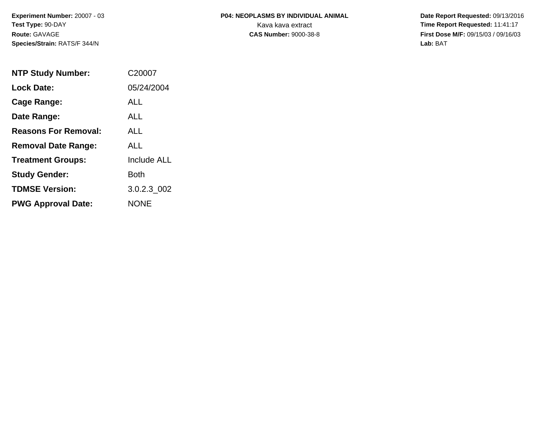# **P04: NEOPLASMS BY INDIVIDUAL ANIMAL**Kava kava extract **Time Report Requested:** 11:41:17<br>**CAS Number:** 9000-38-8 **Time Report Requested:** 11:41:17

 **Date Report Requested:** 09/13/2016 **First Dose M/F:** 09/15/03 / 09/16/03<br>Lab: BAT **Lab:** BAT

| <b>NTP Study Number:</b>    | C20007             |
|-----------------------------|--------------------|
| <b>Lock Date:</b>           | 05/24/2004         |
| Cage Range:                 | ALL                |
| Date Range:                 | ALL.               |
| <b>Reasons For Removal:</b> | <b>ALL</b>         |
| <b>Removal Date Range:</b>  | ALL                |
| <b>Treatment Groups:</b>    | <b>Include ALL</b> |
| <b>Study Gender:</b>        | Both               |
| <b>TDMSE Version:</b>       | 3.0.2.3 002        |
| <b>PWG Approval Date:</b>   | <b>NONE</b>        |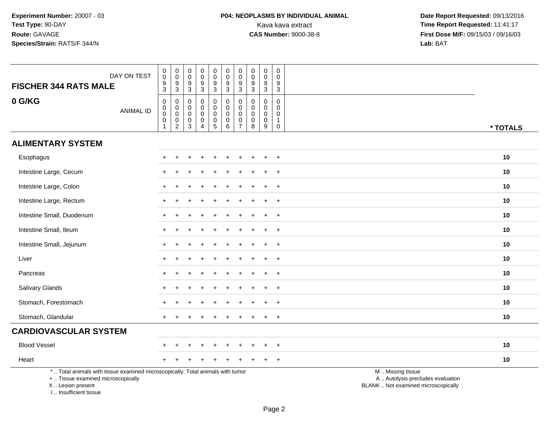| DAY ON TEST<br><b>FISCHER 344 RATS MALE</b>                                                                                                                         | 0<br>0<br>$\boldsymbol{9}$<br>3                 | $\boldsymbol{0}$<br>$\overline{0}$<br>$\boldsymbol{9}$<br>$\mathbf{3}$ | 0<br>0<br>9<br>$\mathbf{3}$                        | $\mathsf{O}\xspace$<br>0<br>$\boldsymbol{9}$<br>$\mathbf{3}$ | $\pmb{0}$<br>$\overline{0}$<br>$\boldsymbol{9}$<br>$\mathbf{3}$ | $\mathbf 0$<br>$\mathbf 0$<br>$\boldsymbol{9}$<br>$\mathbf{3}$              | $\mathbf 0$<br>$\mathbf 0$<br>$\boldsymbol{9}$<br>$\mathbf{3}$              | $\pmb{0}$<br>$\mathbf 0$<br>$\boldsymbol{9}$<br>$\sqrt{3}$    | $\pmb{0}$<br>$\mathbf 0$<br>$\boldsymbol{9}$<br>$\mathbf{3}$           | $\mathbf 0$<br>$\mathbf 0$<br>9<br>$\mathbf{3}$                |                                                                                               |
|---------------------------------------------------------------------------------------------------------------------------------------------------------------------|-------------------------------------------------|------------------------------------------------------------------------|----------------------------------------------------|--------------------------------------------------------------|-----------------------------------------------------------------|-----------------------------------------------------------------------------|-----------------------------------------------------------------------------|---------------------------------------------------------------|------------------------------------------------------------------------|----------------------------------------------------------------|-----------------------------------------------------------------------------------------------|
| 0 G/KG<br><b>ANIMAL ID</b>                                                                                                                                          | $\pmb{0}$<br>$\overline{0}$<br>$\mathsf 0$<br>1 | $\pmb{0}$<br>$\overline{0}$<br>$\pmb{0}$<br>$\overline{2}$             | $\mathbf 0$<br>0<br>0<br>$\pmb{0}$<br>$\mathbf{3}$ | $\mathbf 0$<br>$\mathbf 0$<br>$\mathbf 0$<br>$\pmb{0}$<br>4  | $\mathsf 0$<br>$\pmb{0}$<br>$\pmb{0}$<br>$\pmb{0}$<br>5         | $\mathbf 0$<br>$\mathbf 0$<br>$\mathbf 0$<br>$\mathbf 0$<br>$6\phantom{1}6$ | $\pmb{0}$<br>$\pmb{0}$<br>$\boldsymbol{0}$<br>$\mathbf 0$<br>$\overline{7}$ | $\mathbf 0$<br>$\mathbf 0$<br>$\mathbf 0$<br>$\mathbf 0$<br>8 | $\pmb{0}$<br>$\pmb{0}$<br>$\mathbf 0$<br>$\pmb{0}$<br>$\boldsymbol{9}$ | $\mathbf 0$<br>0<br>$\mathbf 0$<br>$\mathbf{1}$<br>$\mathbf 0$ | * TOTALS                                                                                      |
| <b>ALIMENTARY SYSTEM</b>                                                                                                                                            |                                                 |                                                                        |                                                    |                                                              |                                                                 |                                                                             |                                                                             |                                                               |                                                                        |                                                                |                                                                                               |
| Esophagus                                                                                                                                                           |                                                 |                                                                        |                                                    |                                                              |                                                                 |                                                                             |                                                                             |                                                               |                                                                        | $\ddot{}$                                                      | 10                                                                                            |
| Intestine Large, Cecum                                                                                                                                              |                                                 |                                                                        |                                                    |                                                              |                                                                 |                                                                             |                                                                             |                                                               |                                                                        |                                                                | 10                                                                                            |
| Intestine Large, Colon                                                                                                                                              |                                                 |                                                                        |                                                    |                                                              |                                                                 |                                                                             |                                                                             |                                                               |                                                                        | $\overline{+}$                                                 | 10                                                                                            |
| Intestine Large, Rectum                                                                                                                                             | $\pm$                                           |                                                                        |                                                    |                                                              |                                                                 |                                                                             |                                                                             |                                                               |                                                                        | $\ddot{}$                                                      | 10                                                                                            |
| Intestine Small, Duodenum                                                                                                                                           |                                                 |                                                                        |                                                    |                                                              |                                                                 |                                                                             |                                                                             |                                                               |                                                                        |                                                                | 10                                                                                            |
| Intestine Small, Ileum                                                                                                                                              |                                                 |                                                                        |                                                    |                                                              |                                                                 |                                                                             |                                                                             |                                                               |                                                                        | $\ddot{}$                                                      | 10                                                                                            |
| Intestine Small, Jejunum                                                                                                                                            |                                                 |                                                                        |                                                    |                                                              |                                                                 |                                                                             |                                                                             |                                                               |                                                                        | $\ddot{}$                                                      | 10                                                                                            |
| Liver                                                                                                                                                               |                                                 |                                                                        |                                                    |                                                              |                                                                 |                                                                             |                                                                             |                                                               |                                                                        | $\div$                                                         | 10                                                                                            |
| Pancreas                                                                                                                                                            |                                                 |                                                                        |                                                    |                                                              |                                                                 |                                                                             |                                                                             |                                                               |                                                                        | $\ddot{}$                                                      | 10                                                                                            |
| Salivary Glands                                                                                                                                                     |                                                 |                                                                        |                                                    |                                                              |                                                                 |                                                                             |                                                                             |                                                               |                                                                        | $\overline{+}$                                                 | 10                                                                                            |
| Stomach, Forestomach                                                                                                                                                |                                                 |                                                                        |                                                    |                                                              |                                                                 |                                                                             |                                                                             |                                                               |                                                                        | $\ddot{}$                                                      | 10                                                                                            |
| Stomach, Glandular                                                                                                                                                  |                                                 |                                                                        |                                                    |                                                              |                                                                 |                                                                             |                                                                             |                                                               |                                                                        | $\ddot{}$                                                      | 10                                                                                            |
| <b>CARDIOVASCULAR SYSTEM</b>                                                                                                                                        |                                                 |                                                                        |                                                    |                                                              |                                                                 |                                                                             |                                                                             |                                                               |                                                                        |                                                                |                                                                                               |
| <b>Blood Vessel</b>                                                                                                                                                 |                                                 |                                                                        |                                                    |                                                              |                                                                 |                                                                             |                                                                             |                                                               |                                                                        | $\overline{ }$                                                 | 10                                                                                            |
| Heart                                                                                                                                                               |                                                 |                                                                        |                                                    |                                                              |                                                                 |                                                                             |                                                                             |                                                               |                                                                        | $\ddot{}$                                                      | 10                                                                                            |
| *  Total animals with tissue examined microscopically; Total animals with tumor<br>+  Tissue examined microscopically<br>X  Lesion present<br>I Insufficient tissue |                                                 |                                                                        |                                                    |                                                              |                                                                 |                                                                             |                                                                             |                                                               |                                                                        |                                                                | M  Missing tissue<br>A  Autolysis precludes evaluation<br>BLANK  Not examined microscopically |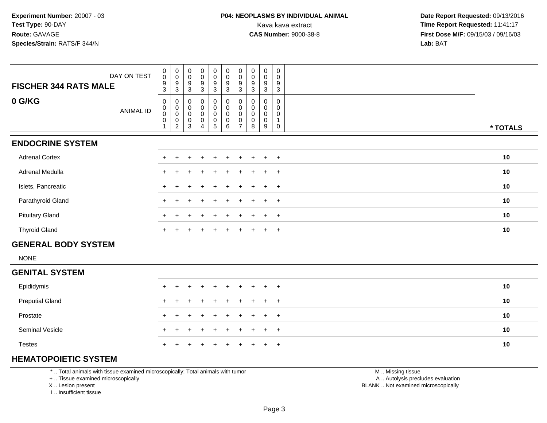| DAY ON TEST                  | $_{\rm 0}^{\rm 0}$<br>$\boldsymbol{9}$        | $_{\rm 0}^{\rm 0}$<br>9                     | $_{\rm 0}^{\rm 0}$<br>9                      | $\begin{smallmatrix}0\0\0\end{smallmatrix}$<br>9 | $\begin{smallmatrix} 0\\0 \end{smallmatrix}$<br>9 | $_{\rm 0}^{\rm 0}$<br>$\boldsymbol{9}$                | $\begin{smallmatrix} 0\\0 \end{smallmatrix}$<br>9    | $_{\rm 0}^{\rm 0}$<br>9  | 0<br>$\pmb{0}$<br>9   | 0<br>$\mathbf 0$<br>9 |          |
|------------------------------|-----------------------------------------------|---------------------------------------------|----------------------------------------------|--------------------------------------------------|---------------------------------------------------|-------------------------------------------------------|------------------------------------------------------|--------------------------|-----------------------|-----------------------|----------|
| <b>FISCHER 344 RATS MALE</b> | 3                                             | 3                                           | 3                                            | 3                                                | $\mathbf{3}$                                      | 3                                                     | 3                                                    | 3                        | 3                     | 3                     |          |
| 0 G/KG<br>ANIMAL ID          | 0<br>$\pmb{0}$<br>$\pmb{0}$<br>$\pmb{0}$<br>1 | 0<br>$\,0\,$<br>$\pmb{0}$<br>$\pmb{0}$<br>2 | 0<br>0<br>$\boldsymbol{0}$<br>$\pmb{0}$<br>3 | 0<br>0<br>0<br>0<br>4                            | $\overline{0}$<br>0<br>0<br>0<br>5                | $\pmb{0}$<br>$\pmb{0}$<br>$\pmb{0}$<br>$\pmb{0}$<br>6 | 0<br>$\pmb{0}$<br>$\mathbf 0$<br>0<br>$\overline{ }$ | $\pmb{0}$<br>0<br>0<br>8 | 0<br>0<br>0<br>0<br>9 | 0                     | * TOTALS |
| <b>ENDOCRINE SYSTEM</b>      |                                               |                                             |                                              |                                                  |                                                   |                                                       |                                                      |                          |                       |                       |          |
| <b>Adrenal Cortex</b>        |                                               |                                             |                                              |                                                  |                                                   |                                                       |                                                      |                          | ÷                     | $+$                   | 10       |
| Adrenal Medulla              |                                               |                                             |                                              | $\div$                                           | $+$                                               |                                                       |                                                      |                          | $\div$                | $+$                   | 10       |
| Islets, Pancreatic           |                                               |                                             |                                              | $\ddot{}$                                        | $+$                                               | $+$                                                   | $+$                                                  | $\ddot{}$                | $\ddot{}$             | $+$                   | 10       |
| Parathyroid Gland            |                                               |                                             |                                              |                                                  | $+$                                               |                                                       |                                                      |                          | $\ddot{}$             | $+$                   | 10       |
| <b>Pituitary Gland</b>       |                                               |                                             |                                              |                                                  | $\pm$                                             |                                                       |                                                      |                          | $\div$                | $+$                   | 10       |
| <b>Thyroid Gland</b>         | $+$                                           |                                             |                                              | $\ddot{}$                                        | $+$                                               | $\pm$                                                 | $+$                                                  | $\pm$                    | $\overline{+}$        | $+$                   | 10       |
| <b>GENERAL BODY SYSTEM</b>   |                                               |                                             |                                              |                                                  |                                                   |                                                       |                                                      |                          |                       |                       |          |

NONE

| <b>GENITAL SYSTEM</b>  |  |                     |  |  |  |  |    |
|------------------------|--|---------------------|--|--|--|--|----|
| Epididymis             |  | + + + + + + + + + + |  |  |  |  | 10 |
| <b>Preputial Gland</b> |  | + + + + + + + + + + |  |  |  |  | 10 |
| Prostate               |  | + + + + + + + + + + |  |  |  |  | 10 |
| <b>Seminal Vesicle</b> |  | + + + + + + + + + + |  |  |  |  | 10 |
| <b>Testes</b>          |  | + + + + + + + + + + |  |  |  |  | 10 |

# **HEMATOPOIETIC SYSTEM**

\* .. Total animals with tissue examined microscopically; Total animals with tumor

+ .. Tissue examined microscopically

X .. Lesion present

I .. Insufficient tissue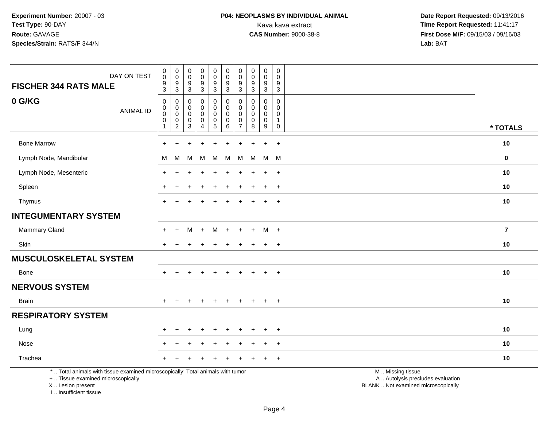# **P04: NEOPLASMS BY INDIVIDUAL ANIMAL**<br>Kava kava extract Kava kava extract **Time Report Requested:** 11:41:17<br>**CAS Number:** 9000-38-8 **Time Report Requested:** 11:41:17

 **Date Report Requested:** 09/13/2016 **First Dose M/F:** 09/15/03 / 09/16/03<br>Lab: BAT **Lab:** BAT

| DAY ON TEST<br><b>FISCHER 344 RATS MALE</b>                                                                                                | $_{\rm 0}^{\rm 0}$<br>$\frac{9}{3}$                                      | $_{\rm 0}^{\rm 0}$<br>$\frac{9}{3}$                            | $_{\rm 0}^{\rm 0}$<br>$\frac{9}{3}$               | $\begin{smallmatrix}0\0\0\end{smallmatrix}$<br>$\frac{9}{3}$   | $_0^0$<br>$\frac{9}{3}$                                           | $_{\rm 0}^{\rm 0}$<br>$\frac{9}{3}$                                     | $\pmb{0}$<br>$\mathbf 0$<br>9<br>$\mathbf{3}$                     | $\pmb{0}$<br>$\ddot{\mathbf{0}}$<br>9<br>$\mathbf 3$ | $\begin{smallmatrix}0\0\0\end{smallmatrix}$<br>$\frac{9}{3}$     | $\mathbf 0$<br>0<br>$\boldsymbol{9}$<br>$\mathbf{3}$           |                                                                                               |                         |
|--------------------------------------------------------------------------------------------------------------------------------------------|--------------------------------------------------------------------------|----------------------------------------------------------------|---------------------------------------------------|----------------------------------------------------------------|-------------------------------------------------------------------|-------------------------------------------------------------------------|-------------------------------------------------------------------|------------------------------------------------------|------------------------------------------------------------------|----------------------------------------------------------------|-----------------------------------------------------------------------------------------------|-------------------------|
| 0 G/KG<br><b>ANIMAL ID</b>                                                                                                                 | $\mathbf 0$<br>$\mathsf 0$<br>$\mathbf 0$<br>$\mathbf 0$<br>$\mathbf{1}$ | 0<br>$\mathbf 0$<br>$\mathbf 0$<br>$\pmb{0}$<br>$\overline{c}$ | 0<br>$\mathbf 0$<br>$\mathbf 0$<br>$_{3}^{\rm 0}$ | 0<br>$\mathbf 0$<br>$\mathsf 0$<br>$\pmb{0}$<br>$\overline{4}$ | 0<br>$\overline{0}$<br>0<br>$\begin{array}{c} 0 \\ 5 \end{array}$ | $\pmb{0}$<br>$\overline{0}$<br>$\pmb{0}$<br>$\pmb{0}$<br>$\overline{6}$ | 0<br>$\mathbf{0}$<br>$\mathbf 0$<br>$\mathbf 0$<br>$\overline{7}$ | $\mathbf 0$<br>$\mathbf 0$<br>0<br>$\mathbf 0$<br>8  | 0<br>$\mathbf 0$<br>$\mathbf 0$<br>$\mathbf 0$<br>$\overline{9}$ | 0<br>$\mathbf 0$<br>$\mathbf 0$<br>$\mathbf{1}$<br>$\mathbf 0$ |                                                                                               | * TOTALS                |
| <b>Bone Marrow</b>                                                                                                                         | $\ddot{}$                                                                | $\ddot{}$                                                      | $\div$                                            | $\overline{+}$                                                 | $\ddot{}$                                                         | $\pm$                                                                   | $\ddot{}$                                                         | $\div$                                               | $+$                                                              | $+$                                                            |                                                                                               | 10                      |
| Lymph Node, Mandibular                                                                                                                     | М                                                                        | м                                                              | М                                                 | M                                                              | M                                                                 | м                                                                       | м                                                                 | M                                                    | M                                                                | M                                                              |                                                                                               | $\mathbf 0$             |
| Lymph Node, Mesenteric                                                                                                                     |                                                                          |                                                                |                                                   |                                                                |                                                                   |                                                                         |                                                                   |                                                      |                                                                  | $\ddot{}$                                                      |                                                                                               | 10                      |
| Spleen                                                                                                                                     | $\div$                                                                   | ÷                                                              |                                                   | +                                                              | ÷                                                                 |                                                                         |                                                                   |                                                      | $\ddot{}$                                                        | $^{+}$                                                         |                                                                                               | 10                      |
| Thymus                                                                                                                                     | $+$                                                                      | ÷                                                              |                                                   |                                                                |                                                                   |                                                                         | $+$                                                               |                                                      | $\ddot{}$                                                        | $+$                                                            |                                                                                               | 10                      |
| <b>INTEGUMENTARY SYSTEM</b>                                                                                                                |                                                                          |                                                                |                                                   |                                                                |                                                                   |                                                                         |                                                                   |                                                      |                                                                  |                                                                |                                                                                               |                         |
| Mammary Gland                                                                                                                              | $+$                                                                      | $\ddot{}$                                                      | M                                                 | $+$                                                            | M                                                                 | $+$                                                                     | $\ddot{}$                                                         | $\ddot{}$                                            | M +                                                              |                                                                |                                                                                               | $\overline{\mathbf{r}}$ |
| Skin                                                                                                                                       | $+$                                                                      |                                                                |                                                   |                                                                |                                                                   |                                                                         |                                                                   |                                                      | $\ddot{}$                                                        | $+$                                                            |                                                                                               | 10                      |
| <b>MUSCULOSKELETAL SYSTEM</b>                                                                                                              |                                                                          |                                                                |                                                   |                                                                |                                                                   |                                                                         |                                                                   |                                                      |                                                                  |                                                                |                                                                                               |                         |
| Bone                                                                                                                                       | $+$                                                                      |                                                                |                                                   |                                                                |                                                                   |                                                                         |                                                                   |                                                      | $\ddot{}$                                                        | $+$                                                            |                                                                                               | 10                      |
| <b>NERVOUS SYSTEM</b>                                                                                                                      |                                                                          |                                                                |                                                   |                                                                |                                                                   |                                                                         |                                                                   |                                                      |                                                                  |                                                                |                                                                                               |                         |
| <b>Brain</b>                                                                                                                               | $+$                                                                      | $+$                                                            | $\ddot{}$                                         | $+$                                                            | $+$                                                               | $+$                                                                     | $+$                                                               | $+$                                                  | $+$                                                              | $+$                                                            |                                                                                               | 10                      |
| <b>RESPIRATORY SYSTEM</b>                                                                                                                  |                                                                          |                                                                |                                                   |                                                                |                                                                   |                                                                         |                                                                   |                                                      |                                                                  |                                                                |                                                                                               |                         |
| Lung                                                                                                                                       |                                                                          |                                                                |                                                   |                                                                |                                                                   |                                                                         |                                                                   |                                                      |                                                                  | $\ddot{}$                                                      |                                                                                               | 10                      |
| Nose                                                                                                                                       |                                                                          |                                                                |                                                   |                                                                |                                                                   |                                                                         |                                                                   |                                                      | $\div$                                                           | $\overline{+}$                                                 |                                                                                               | 10                      |
| Trachea                                                                                                                                    |                                                                          |                                                                |                                                   |                                                                |                                                                   |                                                                         |                                                                   |                                                      |                                                                  | $+$                                                            |                                                                                               | 10                      |
| *  Total animals with tissue examined microscopically; Total animals with tumor<br>+  Tissue examined microscopically<br>X  Lesion present |                                                                          |                                                                |                                                   |                                                                |                                                                   |                                                                         |                                                                   |                                                      |                                                                  |                                                                | M  Missing tissue<br>A  Autolysis precludes evaluation<br>BLANK  Not examined microscopically |                         |

I .. Insufficient tissue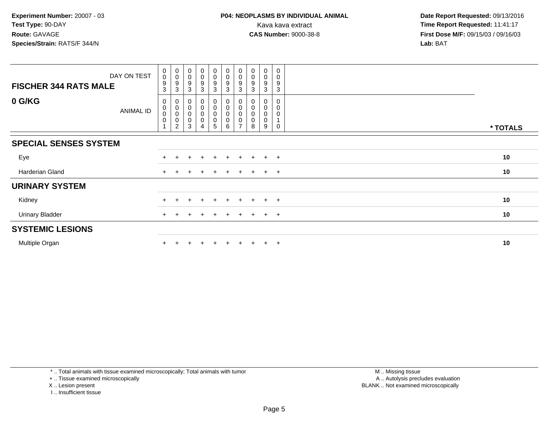| DAY ON TEST                  | $\begin{smallmatrix} 0\\0 \end{smallmatrix}$   | $\begin{smallmatrix} 0\\0 \end{smallmatrix}$                                   | $_{\rm 0}^{\rm 0}$                   | $\begin{smallmatrix}0\0\0\end{smallmatrix}$ | $_{\rm 0}^{\rm 0}$                            | $_{\rm 0}^{\rm 0}$                      | $\begin{smallmatrix} 0\\0 \end{smallmatrix}$           | $_{\rm 0}^{\rm 0}$           | $\pmb{0}$<br>0        | 0<br>$\mathbf 0$                            |          |
|------------------------------|------------------------------------------------|--------------------------------------------------------------------------------|--------------------------------------|---------------------------------------------|-----------------------------------------------|-----------------------------------------|--------------------------------------------------------|------------------------------|-----------------------|---------------------------------------------|----------|
| <b>FISCHER 344 RATS MALE</b> | $\boldsymbol{9}$<br>$\mathbf{3}$               | $\boldsymbol{9}$<br>3                                                          | 9<br>3                               | 9<br>3                                      | $\boldsymbol{9}$<br>$\mathbf{3}$              | $\boldsymbol{9}$<br>3                   | $\boldsymbol{9}$<br>3                                  | 9<br>3                       | 9<br>3                | 9<br>3                                      |          |
| 0 G/KG<br><b>ANIMAL ID</b>   | 0<br>$\mathbf 0$<br>$\mathbf 0$<br>$\mathbf 0$ | $\pmb{0}$<br>$\begin{smallmatrix}0\\0\end{smallmatrix}$<br>0<br>$\overline{2}$ | $\mathbf 0$<br>$\mathbf 0$<br>0<br>3 | 0<br>0<br>$\mathsf 0$<br>0                  | $\pmb{0}$<br>$\pmb{0}$<br>0<br>$\pmb{0}$<br>5 | 0<br>$\pmb{0}$<br>$\mathbf 0$<br>0<br>6 | 0<br>$_{\rm 0}^{\rm 0}$<br>$\pmb{0}$<br>$\overline{ }$ | $_{\rm 0}^{\rm 0}$<br>0<br>8 | 0<br>0<br>0<br>0<br>9 | $\Omega$<br>$\mathbf 0$<br>$\mathbf 0$<br>0 | * TOTALS |
| <b>SPECIAL SENSES SYSTEM</b> |                                                |                                                                                |                                      |                                             |                                               |                                         |                                                        |                              |                       |                                             |          |
| Eye                          |                                                |                                                                                |                                      |                                             | $\pm$                                         | $\ddot{}$                               |                                                        | $\pm$                        | $\pm$                 | $+$                                         | 10       |
| Harderian Gland              |                                                |                                                                                |                                      |                                             | $\pm$                                         | $\pm$                                   | $\pm$                                                  | $+$                          | $\ddot{}$             | $+$                                         | 10       |
| <b>URINARY SYSTEM</b>        |                                                |                                                                                |                                      |                                             |                                               |                                         |                                                        |                              |                       |                                             |          |
| Kidney                       |                                                |                                                                                |                                      |                                             | $+$                                           |                                         |                                                        | $\pm$                        | $\pm$                 | $+$                                         | 10       |
| <b>Urinary Bladder</b>       |                                                |                                                                                |                                      | $\pm$                                       | $+$                                           | $\pm$                                   | $+$                                                    | $+$                          | $+$                   | $+$                                         | 10       |
| <b>SYSTEMIC LESIONS</b>      |                                                |                                                                                |                                      |                                             |                                               |                                         |                                                        |                              |                       |                                             |          |
| Multiple Organ               |                                                |                                                                                |                                      |                                             |                                               |                                         |                                                        |                              | $\pm$                 | $+$                                         | 10       |

\* .. Total animals with tissue examined microscopically; Total animals with tumor

+ .. Tissue examined microscopically

X .. Lesion present

I .. Insufficient tissue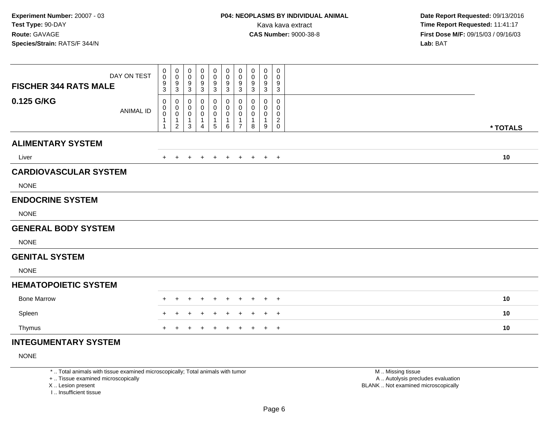| DAY ON TEST<br><b>FISCHER 344 RATS MALE</b> |                  | $\pmb{0}$<br>$\mathbf 0$<br>9 | 0<br>$\mathsf{O}\xspace$<br>9 | $\mathbf 0$<br>$\pmb{0}$<br>$\boldsymbol{9}$ | 0<br>0<br>9 | $\mathbf 0$<br>$\pmb{0}$<br>$9\,$ | 0<br>$\mathsf{O}\xspace$<br>9 | $\pmb{0}$<br>$\mathbf 0$<br>9    | 0<br>0<br>9        | $\pmb{0}$<br>$\pmb{0}$<br>9 | 0<br>0<br>9                   |          |  |
|---------------------------------------------|------------------|-------------------------------|-------------------------------|----------------------------------------------|-------------|-----------------------------------|-------------------------------|----------------------------------|--------------------|-----------------------------|-------------------------------|----------|--|
|                                             |                  | 3                             | 3                             | $\mathsf 3$                                  | 3           | 3                                 | 3                             | 3                                | 3                  | 3                           | 3                             |          |  |
| 0.125 G/KG                                  | <b>ANIMAL ID</b> | 0<br>0<br>$\mathbf 0$         | 0<br>0<br>$\mathsf{O}\xspace$ | 0<br>0<br>$\pmb{0}$                          | 0<br>0<br>0 | 0<br>$\pmb{0}$<br>0               | 0<br>0<br>$\pmb{0}$           | 0<br>$\mathbf{0}$<br>$\mathbf 0$ | 0<br>$\Omega$<br>0 | $\mathbf{0}$<br>0<br>0      | $\Omega$<br>0<br>0            |          |  |
|                                             |                  |                               | $\mathbf 1$<br>$\overline{2}$ | $\mathbf 1$<br>3                             | 4           | $\mathbf{1}$<br>$\sqrt{5}$        | 1<br>6                        | $\mathbf{1}$<br>$\overline{7}$   | 8                  | 9                           | $\overline{a}$<br>$\mathbf 0$ | * TOTALS |  |
| <b>ALIMENTARY SYSTEM</b>                    |                  |                               |                               |                                              |             |                                   |                               |                                  |                    |                             |                               |          |  |
| Liver                                       |                  |                               |                               | $\ddot{}$                                    | $\ddot{}$   | $\overline{+}$                    | $+$                           | $+$                              | $+$                |                             | $+$ $+$                       | 10       |  |
| <b>CARDIOVASCULAR SYSTEM</b>                |                  |                               |                               |                                              |             |                                   |                               |                                  |                    |                             |                               |          |  |
| <b>NONE</b>                                 |                  |                               |                               |                                              |             |                                   |                               |                                  |                    |                             |                               |          |  |
| <b>ENDOCRINE SYSTEM</b>                     |                  |                               |                               |                                              |             |                                   |                               |                                  |                    |                             |                               |          |  |
| <b>NONE</b>                                 |                  |                               |                               |                                              |             |                                   |                               |                                  |                    |                             |                               |          |  |
| <b>GENERAL BODY SYSTEM</b>                  |                  |                               |                               |                                              |             |                                   |                               |                                  |                    |                             |                               |          |  |
| <b>NONE</b>                                 |                  |                               |                               |                                              |             |                                   |                               |                                  |                    |                             |                               |          |  |
| <b>GENITAL SYSTEM</b>                       |                  |                               |                               |                                              |             |                                   |                               |                                  |                    |                             |                               |          |  |
| <b>NONE</b>                                 |                  |                               |                               |                                              |             |                                   |                               |                                  |                    |                             |                               |          |  |
| <b>HEMATOPOIETIC SYSTEM</b>                 |                  |                               |                               |                                              |             |                                   |                               |                                  |                    |                             |                               |          |  |
| <b>Bone Marrow</b>                          |                  |                               |                               |                                              |             |                                   |                               |                                  |                    |                             | $\overline{+}$                | 10       |  |
| Spleen                                      |                  |                               |                               |                                              |             |                                   |                               |                                  |                    |                             | $\overline{+}$                | 10       |  |
| Thymus                                      |                  |                               |                               |                                              |             |                                   |                               |                                  |                    |                             | $^{+}$                        | 10       |  |
| INTEGUMENTARY SYSTEM                        |                  |                               |                               |                                              |             |                                   |                               |                                  |                    |                             |                               |          |  |

# **INTEGUMENTARY SYSTEM**

NONE

\* .. Total animals with tissue examined microscopically; Total animals with tumor

+ .. Tissue examined microscopically

X .. Lesion present

I .. Insufficient tissue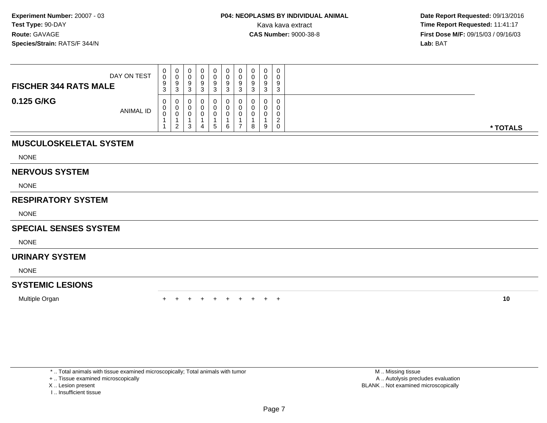| DAY ON TEST<br><b>FISCHER 344 RATS MALE</b> | 0<br>0<br>9<br>J. | U.<br>9<br>ົ<br>◡ | O | 0<br>O<br>9 | 0<br>U<br>a | 0<br>v<br>9<br>ົ<br>J |   | $\Omega$<br>$\circ$ | 0<br>0<br>9<br>3                           |          |
|---------------------------------------------|-------------------|-------------------|---|-------------|-------------|-----------------------|---|---------------------|--------------------------------------------|----------|
| 0.125 G/KG<br><b>ANIMAL ID</b>              | U<br>U<br>ν       | U<br>v<br>◡<br>ົ  |   | 5           | U<br>6      | 0<br>v<br>0           | 8 | $\sim$<br>u<br>9    | 0<br>0<br>0<br>$\sqrt{2}$<br><u>.</u><br>0 | * TOTALS |

# **MUSCULOSKELETAL SYSTEM**

NONE

#### **NERVOUS SYSTEM**

NONE

# **RESPIRATORY SYSTEM**

NONE

### **SPECIAL SENSES SYSTEM**

NONE

# **URINARY SYSTEM**

NONE

# **SYSTEMIC LESIONS**

Multiple Organn  $+$ 

<sup>+</sup> <sup>+</sup> <sup>+</sup> <sup>+</sup> <sup>+</sup> <sup>+</sup> <sup>+</sup> <sup>+</sup> <sup>+</sup> **<sup>10</sup>**

\* .. Total animals with tissue examined microscopically; Total animals with tumor

+ .. Tissue examined microscopically

- X .. Lesion present
- I .. Insufficient tissue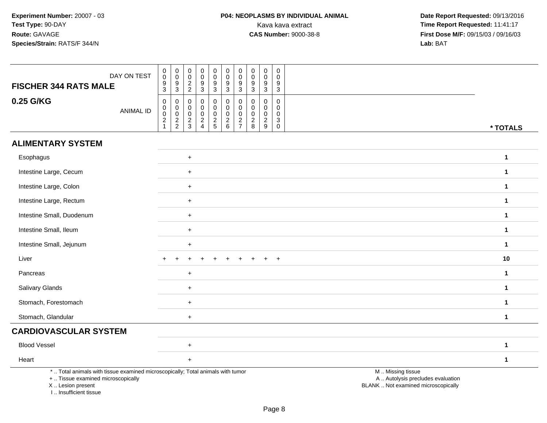| DAY ON TEST<br><b>FISCHER 344 RATS MALE</b>                                                                                                                         | $\boldsymbol{0}$<br>$\overline{0}$<br>$\boldsymbol{9}$<br>$\mathfrak{S}$ | $\mathbf 0$<br>$\mathsf{O}\xspace$<br>$9\,$<br>$\mathsf 3$ | $\mathbf 0$<br>$\mathbf 0$<br>$\boldsymbol{2}$<br>$\sqrt{2}$ | $\pmb{0}$<br>$\mathbf 0$<br>$\boldsymbol{9}$<br>$\sqrt{3}$ | $\mathsf 0$<br>$\overline{0}$<br>$\boldsymbol{9}$<br>$\mathbf{3}$ | $\pmb{0}$<br>$\mathsf{O}\xspace$<br>$9\,$<br>3                             | $\mathbf 0$<br>$\mathbf 0$<br>$\boldsymbol{9}$<br>$\mathbf{3}$ | 0<br>0<br>9<br>$\mathbf{3}$                     | $\pmb{0}$<br>$\mathbf 0$<br>9<br>3                               | $\mathbf 0$<br>$\mathbf{0}$<br>9<br>3               |                                                                                               |  |
|---------------------------------------------------------------------------------------------------------------------------------------------------------------------|--------------------------------------------------------------------------|------------------------------------------------------------|--------------------------------------------------------------|------------------------------------------------------------|-------------------------------------------------------------------|----------------------------------------------------------------------------|----------------------------------------------------------------|-------------------------------------------------|------------------------------------------------------------------|-----------------------------------------------------|-----------------------------------------------------------------------------------------------|--|
| 0.25 G/KG<br><b>ANIMAL ID</b>                                                                                                                                       | 0<br>$\overline{0}$<br>$\overline{2}$<br>$\mathbf{1}$                    | 0<br>$\mathbf 0$<br>$\mathbf 0$<br>$\frac{2}{2}$           | $\mathbf 0$<br>0<br>$\mathbf 0$<br>$\frac{2}{3}$             | $\mathbf 0$<br>$\mathbf 0$<br>$\mathbf 0$<br>$\frac{2}{4}$ | $\mathbf 0$<br>0<br>$\mathbf 0$<br>$\frac{2}{5}$                  | $\mathbf 0$<br>$\mathsf{O}\xspace$<br>$\mathsf{O}\xspace$<br>$\frac{2}{6}$ | $\mathbf 0$<br>$\mathbf 0$<br>$\mathbf 0$<br>$\frac{2}{7}$     | $\Omega$<br>$\mathbf 0$<br>0<br>$\sqrt{2}$<br>8 | $\mathbf 0$<br>$\mathbf 0$<br>$\mathbf 0$<br>$\overline{2}$<br>9 | $\mathbf 0$<br>0<br>$\mathbf 0$<br>3<br>$\mathbf 0$ | * TOTALS                                                                                      |  |
| <b>ALIMENTARY SYSTEM</b>                                                                                                                                            |                                                                          |                                                            |                                                              |                                                            |                                                                   |                                                                            |                                                                |                                                 |                                                                  |                                                     |                                                                                               |  |
| Esophagus                                                                                                                                                           |                                                                          |                                                            | $+$                                                          |                                                            |                                                                   |                                                                            |                                                                |                                                 |                                                                  |                                                     | $\mathbf{1}$                                                                                  |  |
| Intestine Large, Cecum                                                                                                                                              |                                                                          |                                                            | $+$                                                          |                                                            |                                                                   |                                                                            |                                                                |                                                 |                                                                  |                                                     | 1                                                                                             |  |
| Intestine Large, Colon                                                                                                                                              |                                                                          |                                                            | $\ddot{}$                                                    |                                                            |                                                                   |                                                                            |                                                                |                                                 |                                                                  |                                                     | $\mathbf{1}$                                                                                  |  |
| Intestine Large, Rectum                                                                                                                                             |                                                                          |                                                            | $\ddot{}$                                                    |                                                            |                                                                   |                                                                            |                                                                |                                                 |                                                                  |                                                     | $\mathbf{1}$                                                                                  |  |
| Intestine Small, Duodenum                                                                                                                                           |                                                                          |                                                            | $\ddot{}$                                                    |                                                            |                                                                   |                                                                            |                                                                |                                                 |                                                                  |                                                     | $\mathbf{1}$                                                                                  |  |
| Intestine Small, Ileum                                                                                                                                              |                                                                          |                                                            | $\ddot{}$                                                    |                                                            |                                                                   |                                                                            |                                                                |                                                 |                                                                  |                                                     | $\mathbf{1}$                                                                                  |  |
| Intestine Small, Jejunum                                                                                                                                            |                                                                          |                                                            | $\ddot{}$                                                    |                                                            |                                                                   |                                                                            |                                                                |                                                 |                                                                  |                                                     | $\mathbf{1}$                                                                                  |  |
| Liver                                                                                                                                                               |                                                                          |                                                            |                                                              |                                                            |                                                                   |                                                                            |                                                                |                                                 |                                                                  | $\overline{ }$                                      | 10                                                                                            |  |
| Pancreas                                                                                                                                                            |                                                                          |                                                            | $\ddot{}$                                                    |                                                            |                                                                   |                                                                            |                                                                |                                                 |                                                                  |                                                     | $\mathbf{1}$                                                                                  |  |
| Salivary Glands                                                                                                                                                     |                                                                          |                                                            | $\ddot{}$                                                    |                                                            |                                                                   |                                                                            |                                                                |                                                 |                                                                  |                                                     | 1                                                                                             |  |
| Stomach, Forestomach                                                                                                                                                |                                                                          |                                                            | $\ddot{}$                                                    |                                                            |                                                                   |                                                                            |                                                                |                                                 |                                                                  |                                                     | 1                                                                                             |  |
| Stomach, Glandular                                                                                                                                                  |                                                                          |                                                            | $\ddot{}$                                                    |                                                            |                                                                   |                                                                            |                                                                |                                                 |                                                                  |                                                     | $\mathbf{1}$                                                                                  |  |
| <b>CARDIOVASCULAR SYSTEM</b>                                                                                                                                        |                                                                          |                                                            |                                                              |                                                            |                                                                   |                                                                            |                                                                |                                                 |                                                                  |                                                     |                                                                                               |  |
| <b>Blood Vessel</b>                                                                                                                                                 |                                                                          |                                                            | $\ddot{}$                                                    |                                                            |                                                                   |                                                                            |                                                                |                                                 |                                                                  |                                                     | $\mathbf{1}$                                                                                  |  |
| Heart                                                                                                                                                               |                                                                          |                                                            | $\ddot{}$                                                    |                                                            |                                                                   |                                                                            |                                                                |                                                 |                                                                  |                                                     | $\mathbf{1}$                                                                                  |  |
| *  Total animals with tissue examined microscopically; Total animals with tumor<br>+  Tissue examined microscopically<br>X  Lesion present<br>I Insufficient tissue |                                                                          |                                                            |                                                              |                                                            |                                                                   |                                                                            |                                                                |                                                 |                                                                  |                                                     | M  Missing tissue<br>A  Autolysis precludes evaluation<br>BLANK  Not examined microscopically |  |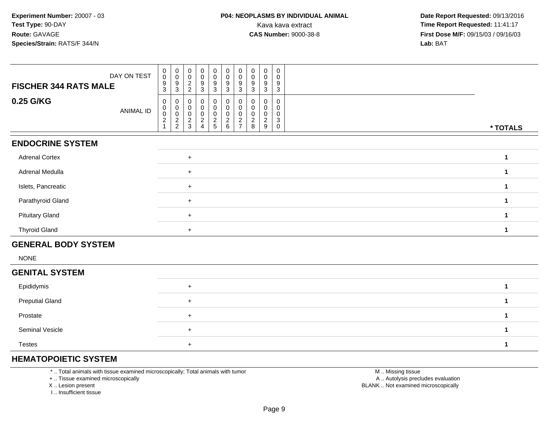| <b>FISCHER 344 RATS MALE</b> | $\begin{matrix} 0 \\ 0 \end{matrix}$<br>0<br>$\begin{matrix} 0 \\ 0 \end{matrix}$<br>0<br>$\overline{0}$<br>0<br>0<br>0<br>0<br>$\mathbf 0$<br>DAY ON TEST<br>$\mathbf 0$<br>$\mathbf 0$<br>0<br>0<br>0<br>0<br>$\mathbf 0$<br>0<br>$\boldsymbol{9}$<br>$\boldsymbol{9}$<br>9<br>9<br>9<br>9<br>$\overline{2}$<br>9<br>9<br>9<br>$\mathbf{3}$<br>3<br>3<br>$\overline{2}$<br>3<br>$\mathbf{3}$<br>3<br>3<br>3<br>3                                                                    |          |
|------------------------------|---------------------------------------------------------------------------------------------------------------------------------------------------------------------------------------------------------------------------------------------------------------------------------------------------------------------------------------------------------------------------------------------------------------------------------------------------------------------------------------|----------|
| 0.25 G/KG                    | $\mathbf 0$<br>$\mathbf 0$<br>0<br>0<br>0<br>0<br>0<br>0<br>0<br>0<br>$\pmb{0}$<br>$\pmb{0}$<br>$\mathbf 0$<br>0<br>0<br>0<br>0<br>$\mathbf 0$<br>0<br>0<br><b>ANIMAL ID</b><br>$\pmb{0}$<br>0<br>$\pmb{0}$<br>$\mathbf 0$<br>0<br>0<br>0<br>0<br>0<br>0<br>$\boldsymbol{2}$<br>$\frac{2}{2}$<br>$\sqrt{2}$<br>$rac{2}{5}$<br>$\frac{2}{9}$<br>$\frac{2}{3}$<br>$\frac{2}{6}$<br>$\overline{\mathbf{c}}$<br>$\mathbf{3}$<br>2<br>$\overline{7}$<br>8<br>$\mathbf 0$<br>$\overline{A}$ | * TOTALS |
| <b>ENDOCRINE SYSTEM</b>      |                                                                                                                                                                                                                                                                                                                                                                                                                                                                                       |          |
| <b>Adrenal Cortex</b>        | $+$                                                                                                                                                                                                                                                                                                                                                                                                                                                                                   | 1        |
| Adrenal Medulla              | $\ddot{}$                                                                                                                                                                                                                                                                                                                                                                                                                                                                             | 1        |
| Islets, Pancreatic           | $\ddot{}$                                                                                                                                                                                                                                                                                                                                                                                                                                                                             | 1        |
| Parathyroid Gland            | $+$                                                                                                                                                                                                                                                                                                                                                                                                                                                                                   | 1        |
| <b>Pituitary Gland</b>       | $\ddot{}$                                                                                                                                                                                                                                                                                                                                                                                                                                                                             | 1        |
| <b>Thyroid Gland</b>         | $+$                                                                                                                                                                                                                                                                                                                                                                                                                                                                                   | 1        |
| <b>GENERAL BODY SYSTEM</b>   |                                                                                                                                                                                                                                                                                                                                                                                                                                                                                       |          |
| <b>NONE</b>                  |                                                                                                                                                                                                                                                                                                                                                                                                                                                                                       |          |
| <b>GENITAL SYSTEM</b>        |                                                                                                                                                                                                                                                                                                                                                                                                                                                                                       |          |
| Epididymis                   | $\ddot{}$                                                                                                                                                                                                                                                                                                                                                                                                                                                                             | 1        |
| <b>Preputial Gland</b>       | $+$                                                                                                                                                                                                                                                                                                                                                                                                                                                                                   | 1        |
| Prostate                     | $+$                                                                                                                                                                                                                                                                                                                                                                                                                                                                                   | 1        |
| Seminal Vesicle              | $\ddot{}$                                                                                                                                                                                                                                                                                                                                                                                                                                                                             | 1        |

# **HEMATOPOIETIC SYSTEM**

Testes

\* .. Total animals with tissue examined microscopically; Total animals with tumor

+ .. Tissue examined microscopically

<sup>+</sup>

X .. Lesion present

I .. Insufficient tissue

 M .. Missing tissuey the contract of the contract of the contract of the contract of the contract of the contract of the contract of  $A$ . Autolysis precludes evaluation Lesion present BLANK .. Not examined microscopically

**<sup>1</sup>**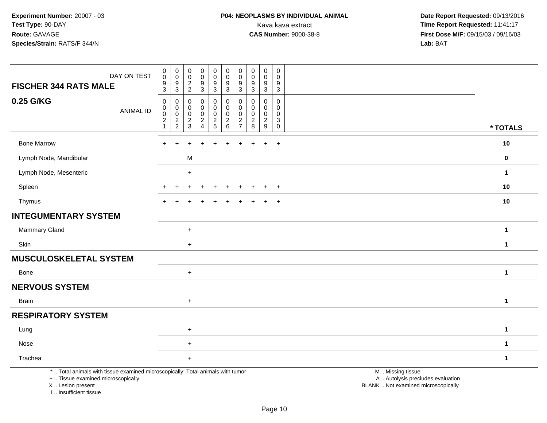# **P04: NEOPLASMS BY INDIVIDUAL ANIMAL**<br>Kava kava extract Kava kava extract **Time Report Requested:** 11:41:17<br>**CAS Number:** 9000-38-8 **Time Report Requested:** 11:41:17

 **Date Report Requested:** 09/13/2016 **First Dose M/F:** 09/15/03 / 09/16/03<br>Lab: BAT **Lab:** BAT

| DAY ON TEST<br><b>FISCHER 344 RATS MALE</b>                                                                                                                         | $\pmb{0}$<br>$\mathsf 0$<br>9<br>$\mathbf{3}$    | $\overline{0}$<br>$\mathbf 0$<br>$9\,$<br>$\sqrt{3}$     | $\begin{smallmatrix}0\\0\end{smallmatrix}$<br>$\frac{2}{2}$ | $\pmb{0}$<br>$\mathbf 0$<br>$\overline{9}$<br>$\mathbf{3}$ | $\begin{smallmatrix}0\0\0\9\end{smallmatrix}$<br>$\overline{3}$ | $\pmb{0}$<br>$\pmb{0}$<br>9<br>$\ensuremath{\mathsf{3}}$                           | $\boldsymbol{0}$<br>$\boldsymbol{0}$<br>9<br>$\sqrt{3}$  | $\pmb{0}$<br>$\mathbf 0$<br>9<br>$\sqrt{3}$             | $\pmb{0}$<br>$\mathbf 0$<br>9<br>$\mathbf{3}$ | $\pmb{0}$<br>$\mathbf 0$<br>$\boldsymbol{9}$<br>$\mathbf{3}$ |                                                                                               |              |
|---------------------------------------------------------------------------------------------------------------------------------------------------------------------|--------------------------------------------------|----------------------------------------------------------|-------------------------------------------------------------|------------------------------------------------------------|-----------------------------------------------------------------|------------------------------------------------------------------------------------|----------------------------------------------------------|---------------------------------------------------------|-----------------------------------------------|--------------------------------------------------------------|-----------------------------------------------------------------------------------------------|--------------|
| 0.25 G/KG<br><b>ANIMAL ID</b>                                                                                                                                       | $\mathbf 0$<br>0<br>$\mathbf 0$<br>$\frac{2}{1}$ | $\mathbf 0$<br>$\pmb{0}$<br>$\mathbf 0$<br>$\frac{2}{2}$ | $\mathbf 0$<br>0<br>$\mathbf 0$<br>$\frac{2}{3}$            | $\mathbf 0$<br>$\mathbf 0$<br>$\mathbf 0$<br>$\frac{2}{4}$ | $\mathbf 0$<br>$\mathbf 0$<br>$\mathsf 0$<br>$\frac{2}{5}$      | $\mathbf 0$<br>$\mathbf 0$<br>$\mathbf 0$<br>$\begin{array}{c} 2 \\ 6 \end{array}$ | $\mathbf 0$<br>$\mathbf 0$<br>$\mathbf 0$<br>$rac{2}{7}$ | $\Omega$<br>$\mathbf 0$<br>$\mathbf 0$<br>$\frac{2}{8}$ | 0<br>0<br>$\mathbf 0$<br>$\frac{2}{9}$        | $\mathbf 0$<br>$\mathbf 0$<br>$\mathbf 0$<br>$\frac{3}{0}$   |                                                                                               | * TOTALS     |
| <b>Bone Marrow</b>                                                                                                                                                  |                                                  |                                                          |                                                             |                                                            |                                                                 |                                                                                    |                                                          |                                                         |                                               | $\ddot{}$                                                    |                                                                                               | $10$         |
| Lymph Node, Mandibular                                                                                                                                              |                                                  |                                                          | M                                                           |                                                            |                                                                 |                                                                                    |                                                          |                                                         |                                               |                                                              |                                                                                               | 0            |
| Lymph Node, Mesenteric                                                                                                                                              |                                                  |                                                          | $\ddot{}$                                                   |                                                            |                                                                 |                                                                                    |                                                          |                                                         |                                               |                                                              |                                                                                               | $\mathbf{1}$ |
| Spleen                                                                                                                                                              |                                                  |                                                          |                                                             |                                                            |                                                                 |                                                                                    |                                                          |                                                         |                                               | $\ddot{}$                                                    |                                                                                               | 10           |
| Thymus                                                                                                                                                              |                                                  |                                                          |                                                             |                                                            |                                                                 |                                                                                    |                                                          |                                                         |                                               | $\overline{+}$                                               |                                                                                               | 10           |
| <b>INTEGUMENTARY SYSTEM</b>                                                                                                                                         |                                                  |                                                          |                                                             |                                                            |                                                                 |                                                                                    |                                                          |                                                         |                                               |                                                              |                                                                                               |              |
| <b>Mammary Gland</b>                                                                                                                                                |                                                  |                                                          | $\ddot{}$                                                   |                                                            |                                                                 |                                                                                    |                                                          |                                                         |                                               |                                                              |                                                                                               | $\mathbf 1$  |
| Skin                                                                                                                                                                |                                                  |                                                          | $\ddot{}$                                                   |                                                            |                                                                 |                                                                                    |                                                          |                                                         |                                               |                                                              |                                                                                               | $\mathbf{1}$ |
| <b>MUSCULOSKELETAL SYSTEM</b>                                                                                                                                       |                                                  |                                                          |                                                             |                                                            |                                                                 |                                                                                    |                                                          |                                                         |                                               |                                                              |                                                                                               |              |
| Bone                                                                                                                                                                |                                                  |                                                          | $\ddot{}$                                                   |                                                            |                                                                 |                                                                                    |                                                          |                                                         |                                               |                                                              |                                                                                               | $\mathbf{1}$ |
| <b>NERVOUS SYSTEM</b>                                                                                                                                               |                                                  |                                                          |                                                             |                                                            |                                                                 |                                                                                    |                                                          |                                                         |                                               |                                                              |                                                                                               |              |
| <b>Brain</b>                                                                                                                                                        |                                                  |                                                          | $\ddot{}$                                                   |                                                            |                                                                 |                                                                                    |                                                          |                                                         |                                               |                                                              |                                                                                               | $\mathbf{1}$ |
| <b>RESPIRATORY SYSTEM</b>                                                                                                                                           |                                                  |                                                          |                                                             |                                                            |                                                                 |                                                                                    |                                                          |                                                         |                                               |                                                              |                                                                                               |              |
| Lung                                                                                                                                                                |                                                  |                                                          | $\ddot{}$                                                   |                                                            |                                                                 |                                                                                    |                                                          |                                                         |                                               |                                                              |                                                                                               | $\mathbf{1}$ |
| Nose                                                                                                                                                                |                                                  |                                                          | $\ddot{}$                                                   |                                                            |                                                                 |                                                                                    |                                                          |                                                         |                                               |                                                              |                                                                                               | $\mathbf 1$  |
| Trachea                                                                                                                                                             |                                                  |                                                          | $\ddot{}$                                                   |                                                            |                                                                 |                                                                                    |                                                          |                                                         |                                               |                                                              |                                                                                               | $\mathbf 1$  |
| *  Total animals with tissue examined microscopically; Total animals with tumor<br>+  Tissue examined microscopically<br>X  Lesion present<br>I Insufficient tissue |                                                  |                                                          |                                                             |                                                            |                                                                 |                                                                                    |                                                          |                                                         |                                               |                                                              | M  Missing tissue<br>A  Autolysis precludes evaluation<br>BLANK  Not examined microscopically |              |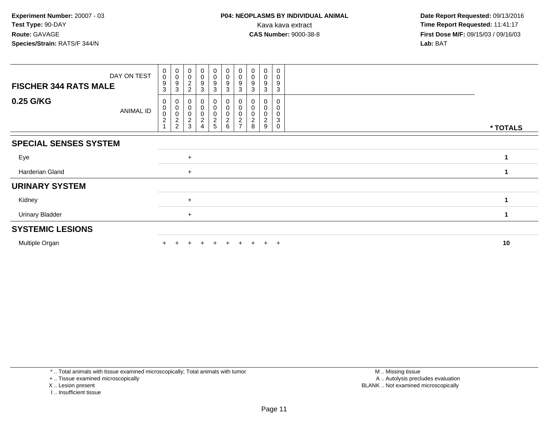| DAY ON TEST                   | $\pmb{0}$<br>$\pmb{0}$        | $_{\rm 0}^{\rm 0}$                                                     | $\boldsymbol{0}$<br>$\mathbf 0$  | $\begin{smallmatrix}0\0\0\end{smallmatrix}$ | $\mathbf 0$<br>$\pmb{0}$                     | $\begin{smallmatrix}0\\0\end{smallmatrix}$            | $\pmb{0}$<br>0 | $\pmb{0}$<br>$\pmb{0}$                      | 0<br>0                             | 0<br>$\mathbf 0$      |          |
|-------------------------------|-------------------------------|------------------------------------------------------------------------|----------------------------------|---------------------------------------------|----------------------------------------------|-------------------------------------------------------|----------------|---------------------------------------------|------------------------------------|-----------------------|----------|
| <b>FISCHER 344 RATS MALE</b>  | 9<br>3                        | 9<br>3                                                                 | $\overline{c}$<br>$\overline{2}$ | 9<br>3                                      | $\boldsymbol{9}$<br>3                        | 9<br>3                                                | 9<br>3         | 9<br>3                                      | 9<br>3                             | 9<br>3                |          |
| 0.25 G/KG<br><b>ANIMAL ID</b> | 0<br>0<br>0<br>$\overline{c}$ | 0<br>$\,0\,$<br>$\pmb{0}$<br>$\overline{\mathbf{c}}$<br>$\overline{c}$ | 0<br>$\overline{c}$<br>3         | 0<br>0<br>0<br>$\overline{\mathbf{c}}$<br>4 | 0<br>0<br>$\mathbf 0$<br>$\overline{c}$<br>5 | O<br>$\mathbf 0$<br>0<br>$\overline{\mathbf{c}}$<br>6 | c              | 0<br>0<br>0<br>$\overline{\mathbf{c}}$<br>8 | 0<br>0<br>0<br>$\overline{c}$<br>9 | 0<br>0<br>0<br>3<br>0 | * TOTALS |
| <b>SPECIAL SENSES SYSTEM</b>  |                               |                                                                        |                                  |                                             |                                              |                                                       |                |                                             |                                    |                       |          |
| Eye                           |                               |                                                                        | $+$                              |                                             |                                              |                                                       |                |                                             |                                    |                       |          |
| Harderian Gland               |                               |                                                                        | $+$                              |                                             |                                              |                                                       |                |                                             |                                    |                       |          |
| <b>URINARY SYSTEM</b>         |                               |                                                                        |                                  |                                             |                                              |                                                       |                |                                             |                                    |                       |          |
| Kidney                        |                               |                                                                        | $+$                              |                                             |                                              |                                                       |                |                                             |                                    |                       |          |
| <b>Urinary Bladder</b>        |                               |                                                                        | $+$                              |                                             |                                              |                                                       |                |                                             |                                    |                       |          |
| <b>SYSTEMIC LESIONS</b>       |                               |                                                                        |                                  |                                             |                                              |                                                       |                |                                             |                                    |                       |          |
| Multiple Organ                |                               |                                                                        |                                  |                                             | $+$                                          | $+$                                                   | $+$            |                                             | $+$                                | $+$                   | 10       |

\* .. Total animals with tissue examined microscopically; Total animals with tumor

+ .. Tissue examined microscopically

X .. Lesion present

I .. Insufficient tissue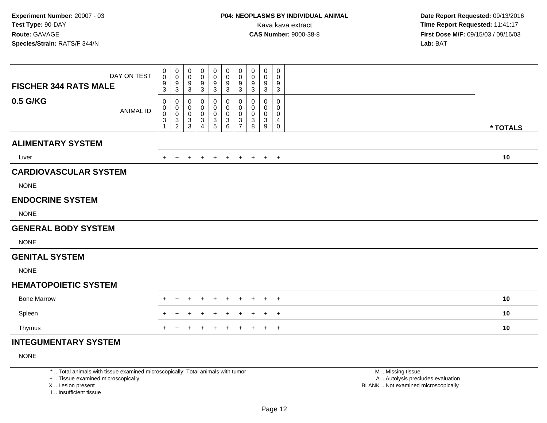| <b>FISCHER 344 RATS MALE</b> | DAY ON TEST      | $\mathbf 0$<br>0<br>9<br>3 | $\boldsymbol{0}$<br>$\pmb{0}$<br>$\boldsymbol{9}$<br>$\sqrt{3}$ | 0<br>0<br>9<br>$\mathbf{3}$            | 0<br>0<br>9<br>$\mathbf{3}$              | 0<br>$\pmb{0}$<br>9<br>$\sqrt{3}$        | 0<br>0<br>9<br>$\ensuremath{\mathsf{3}}$ | 0<br>$\mathbf 0$<br>9<br>3         | 0<br>0<br>9<br>3      | 0<br>0<br>9<br>$\sqrt{3}$ | 0<br>0<br>9<br>$\ensuremath{\mathsf{3}}$ |          |
|------------------------------|------------------|----------------------------|-----------------------------------------------------------------|----------------------------------------|------------------------------------------|------------------------------------------|------------------------------------------|------------------------------------|-----------------------|---------------------------|------------------------------------------|----------|
| 0.5 G/KG                     | <b>ANIMAL ID</b> | 0<br>0<br>$\mathbf 0$<br>3 | 0<br>$\pmb{0}$<br>$\mathbf 0$<br>$\frac{3}{2}$                  | 0<br>0<br>$\mathbf 0$<br>$\frac{3}{3}$ | 0<br>0<br>$\mathbf 0$<br>$\sqrt{3}$<br>4 | 0<br>0<br>$\pmb{0}$<br>$\mathbf{3}$<br>5 | 0<br>0<br>$\mathsf 0$<br>3<br>6          | 0<br>0<br>0<br>3<br>$\overline{7}$ | 0<br>0<br>0<br>3<br>8 | 0<br>0<br>0<br>3<br>9     | 0<br>0<br>0<br>4<br>$\mathbf 0$          | * TOTALS |
| <b>ALIMENTARY SYSTEM</b>     |                  |                            |                                                                 |                                        |                                          |                                          |                                          |                                    |                       |                           |                                          |          |
| Liver                        |                  |                            |                                                                 |                                        |                                          |                                          | $\pm$                                    | $\pm$                              | $\pm$                 | $+$                       | $+$                                      | 10       |
| <b>CARDIOVASCULAR SYSTEM</b> |                  |                            |                                                                 |                                        |                                          |                                          |                                          |                                    |                       |                           |                                          |          |
| <b>NONE</b>                  |                  |                            |                                                                 |                                        |                                          |                                          |                                          |                                    |                       |                           |                                          |          |
| <b>ENDOCRINE SYSTEM</b>      |                  |                            |                                                                 |                                        |                                          |                                          |                                          |                                    |                       |                           |                                          |          |
| <b>NONE</b>                  |                  |                            |                                                                 |                                        |                                          |                                          |                                          |                                    |                       |                           |                                          |          |
| <b>GENERAL BODY SYSTEM</b>   |                  |                            |                                                                 |                                        |                                          |                                          |                                          |                                    |                       |                           |                                          |          |
| <b>NONE</b>                  |                  |                            |                                                                 |                                        |                                          |                                          |                                          |                                    |                       |                           |                                          |          |
| <b>GENITAL SYSTEM</b>        |                  |                            |                                                                 |                                        |                                          |                                          |                                          |                                    |                       |                           |                                          |          |
| <b>NONE</b>                  |                  |                            |                                                                 |                                        |                                          |                                          |                                          |                                    |                       |                           |                                          |          |
| <b>HEMATOPOIETIC SYSTEM</b>  |                  |                            |                                                                 |                                        |                                          |                                          |                                          |                                    |                       |                           |                                          |          |
| <b>Bone Marrow</b>           |                  |                            |                                                                 |                                        |                                          |                                          |                                          |                                    |                       |                           | $^{+}$                                   | 10       |
| Spleen                       |                  |                            |                                                                 |                                        |                                          |                                          |                                          |                                    |                       |                           | $^{+}$                                   | 10       |
| Thymus                       |                  |                            |                                                                 |                                        |                                          |                                          |                                          |                                    |                       |                           | $+$                                      | 10       |
| INITECHMENITADV CVCTEM       |                  |                            |                                                                 |                                        |                                          |                                          |                                          |                                    |                       |                           |                                          |          |

# **INTEGUMENTARY SYSTEM**

NONE

\* .. Total animals with tissue examined microscopically; Total animals with tumor

+ .. Tissue examined microscopically

X .. Lesion present

I .. Insufficient tissue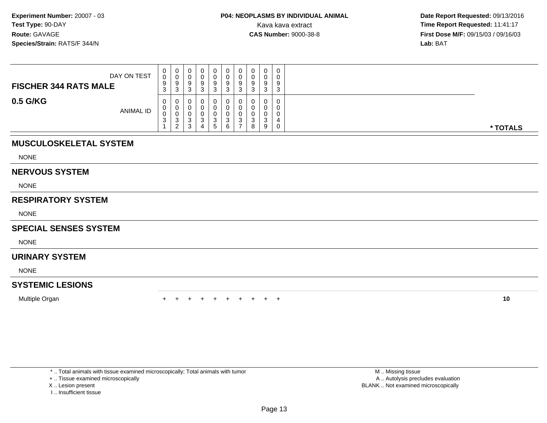| DAY ON TEST<br><b>FISCHER 344 RATS MALE</b> | 0<br>0<br>9<br>ົ<br>J. | v<br>◡<br>0<br>N  |   | 0<br>Ü<br>9       | 0<br>U<br>u      | υ<br>$\Omega$<br>◡<br>ົ |   | о<br>- 3    | 0<br>0<br>9<br>3 |          |
|---------------------------------------------|------------------------|-------------------|---|-------------------|------------------|-------------------------|---|-------------|------------------|----------|
| 0.5 G/KG<br><b>ANIMAL ID</b>                | 0<br>U<br>U<br>3       | ັບ<br>ົ<br>ັ<br>ົ | u | J<br><sub>5</sub> | U<br>ັ<br>⌒<br>ь | ◠<br>ັ                  | ັ | U<br>u<br>9 | 0<br>0<br>0<br>0 | * TOTALS |

# **MUSCULOSKELETAL SYSTEM**

NONE

#### **NERVOUS SYSTEM**

NONE

# **RESPIRATORY SYSTEM**

NONE

### **SPECIAL SENSES SYSTEM**

NONE

# **URINARY SYSTEM**

NONE

# **SYSTEMIC LESIONS**

Multiple Organn  $+$ 

<sup>+</sup> <sup>+</sup> <sup>+</sup> <sup>+</sup> <sup>+</sup> <sup>+</sup> <sup>+</sup> <sup>+</sup> <sup>+</sup> **<sup>10</sup>**

\* .. Total animals with tissue examined microscopically; Total animals with tumor

+ .. Tissue examined microscopically

- X .. Lesion present
- I .. Insufficient tissue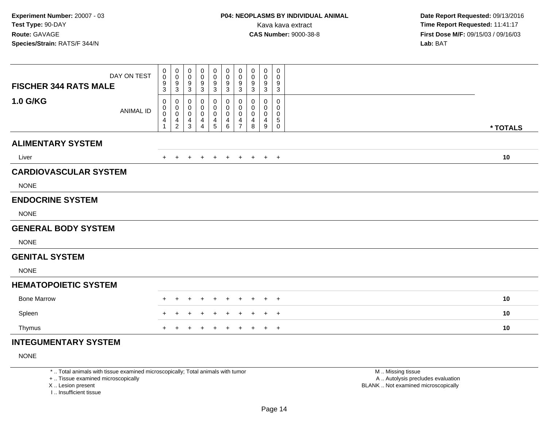| DAY ON TEST<br><b>FISCHER 344 RATS MALE</b> | 0<br>0<br>9                                       | $\pmb{0}$<br>$\mathbf 0$<br>$\frac{9}{3}$      | 0<br>0<br>9                                     | $\mathbf 0$<br>0<br>9                             | $\pmb{0}$<br>0<br>9                           | $\pmb{0}$<br>0<br>$\boldsymbol{9}$            | 0<br>$\boldsymbol{0}$<br>9                                  | 0<br>0<br>9                | $\mathbf 0$<br>0<br>9                | 0<br>0<br>9                |          |
|---------------------------------------------|---------------------------------------------------|------------------------------------------------|-------------------------------------------------|---------------------------------------------------|-----------------------------------------------|-----------------------------------------------|-------------------------------------------------------------|----------------------------|--------------------------------------|----------------------------|----------|
| 1.0 G/KG<br><b>ANIMAL ID</b>                | 3<br>0<br>0<br>$\mathbf 0$<br>4<br>$\overline{1}$ | 0<br>$\pmb{0}$<br>$\mathbf 0$<br>$\frac{4}{2}$ | 3<br>0<br>0<br>$\mathbf 0$<br>4<br>$\mathbf{3}$ | 3<br>0<br>0<br>$\mathbf 0$<br>4<br>$\overline{4}$ | 3<br>0<br>0<br>$\mathbf 0$<br>4<br>$\sqrt{5}$ | $\mathbf{3}$<br>0<br>0<br>$\pmb{0}$<br>4<br>6 | 3<br>0<br>$\mathbf 0$<br>$\mathbf 0$<br>4<br>$\overline{7}$ | 3<br>0<br>0<br>0<br>4<br>8 | 3<br>$\mathbf 0$<br>0<br>0<br>4<br>9 | 3<br>0<br>0<br>0<br>5<br>0 | * TOTALS |
| <b>ALIMENTARY SYSTEM</b>                    |                                                   |                                                |                                                 |                                                   |                                               |                                               |                                                             |                            |                                      |                            |          |
| Liver                                       | $+$                                               | $+$                                            | $+$                                             | $+$                                               |                                               | $+$ $+$                                       | $+$                                                         |                            | $+$ $+$ $+$                          |                            | 10       |
| <b>CARDIOVASCULAR SYSTEM</b>                |                                                   |                                                |                                                 |                                                   |                                               |                                               |                                                             |                            |                                      |                            |          |
| <b>NONE</b>                                 |                                                   |                                                |                                                 |                                                   |                                               |                                               |                                                             |                            |                                      |                            |          |
| <b>ENDOCRINE SYSTEM</b>                     |                                                   |                                                |                                                 |                                                   |                                               |                                               |                                                             |                            |                                      |                            |          |
| <b>NONE</b>                                 |                                                   |                                                |                                                 |                                                   |                                               |                                               |                                                             |                            |                                      |                            |          |
| <b>GENERAL BODY SYSTEM</b>                  |                                                   |                                                |                                                 |                                                   |                                               |                                               |                                                             |                            |                                      |                            |          |
| <b>NONE</b>                                 |                                                   |                                                |                                                 |                                                   |                                               |                                               |                                                             |                            |                                      |                            |          |
| <b>GENITAL SYSTEM</b>                       |                                                   |                                                |                                                 |                                                   |                                               |                                               |                                                             |                            |                                      |                            |          |
| <b>NONE</b>                                 |                                                   |                                                |                                                 |                                                   |                                               |                                               |                                                             |                            |                                      |                            |          |
| <b>HEMATOPOIETIC SYSTEM</b>                 |                                                   |                                                |                                                 |                                                   |                                               |                                               |                                                             |                            |                                      |                            |          |
| <b>Bone Marrow</b>                          | $\pm$                                             | $\pm$                                          | $\pm$                                           | $\div$                                            | $\div$                                        | $\overline{+}$                                | $\pm$                                                       | $\pm$                      | $+$                                  | $+$                        | 10       |
| Spleen                                      |                                                   |                                                |                                                 |                                                   |                                               | ÷                                             |                                                             |                            | $+$                                  | $+$                        | 10       |
| Thymus                                      | $\ddot{}$                                         | $\div$                                         | ٠                                               | ٠                                                 | $\pm$                                         | $\overline{+}$                                | $\ddot{}$                                                   | $+$                        |                                      | $+$ $+$                    | 10       |
| <b>INTEGUMENTARY SYSTEM</b>                 |                                                   |                                                |                                                 |                                                   |                                               |                                               |                                                             |                            |                                      |                            |          |

NONE

\* .. Total animals with tissue examined microscopically; Total animals with tumor

+ .. Tissue examined microscopically

X .. Lesion present

I .. Insufficient tissue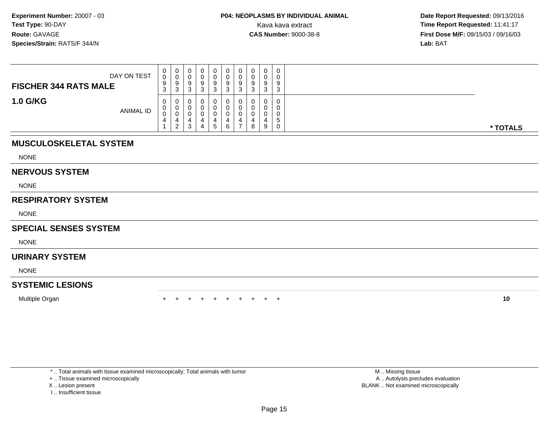| DAY ON TEST<br><b>FISCHER 344 RATS MALE</b> | 0<br>0<br>9<br>ົ<br>◡ | v<br>c<br>$\sqrt{2}$<br>ູບ | ບ | 0<br>O<br>9            | 0<br>v<br>a | υ<br>$\Omega$<br>◡<br>$\sim$ |   | o<br>. ರ | $\mathbf 0$<br>0<br>9<br>3 |          |
|---------------------------------------------|-----------------------|----------------------------|---|------------------------|-------------|------------------------------|---|----------|----------------------------|----------|
| <b>1.0 G/KG</b><br>ANIMAL ID                | 0<br>U<br>0<br>4      | ັບ<br>ာ                    |   | <br>O<br>4<br><u>5</u> | υ<br>6      |                              | 8 | 9        | 0<br>0<br>0<br>5<br>0      | * TOTALS |

# **MUSCULOSKELETAL SYSTEM**

NONE

#### **NERVOUS SYSTEM**

NONE

# **RESPIRATORY SYSTEM**

NONE

### **SPECIAL SENSES SYSTEM**

NONE

# **URINARY SYSTEM**

NONE

# **SYSTEMIC LESIONS**

Multiple Organn  $+$ 

<sup>+</sup> <sup>+</sup> <sup>+</sup> <sup>+</sup> <sup>+</sup> <sup>+</sup> <sup>+</sup> <sup>+</sup> <sup>+</sup> **<sup>10</sup>**

\* .. Total animals with tissue examined microscopically; Total animals with tumor

+ .. Tissue examined microscopically

- X .. Lesion present
- I .. Insufficient tissue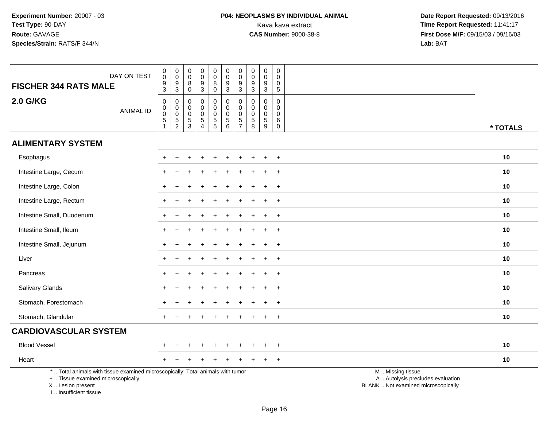I .. Insufficient tissue

| DAY ON TEST<br><b>FISCHER 344 RATS MALE</b>                                                                                                | $\pmb{0}$<br>0<br>9<br>$\mathbf 3$                                | $\begin{smallmatrix} 0\\0 \end{smallmatrix}$<br>$\boldsymbol{9}$<br>$\mathbf{3}$ | 0<br>0<br>8<br>0             | $\mathbf 0$<br>$\mathbf 0$<br>$\boldsymbol{9}$<br>$\sqrt{3}$           | $_{\rm 0}^{\rm 0}$<br>8<br>$\pmb{0}$          | $\mathbf 0$<br>$\mathbf 0$<br>$\boldsymbol{9}$<br>$\mathbf{3}$ | $\mathbf 0$<br>$\mathbf 0$<br>$\boldsymbol{9}$<br>$\mathbf{3}$ | $\pmb{0}$<br>$\mathbf 0$<br>$9\,$<br>$\sqrt{3}$               | $\pmb{0}$<br>$\mathbf 0$<br>$\boldsymbol{9}$<br>$\mathbf{3}$  | $\mathbf 0$<br>$\mathbf 0$<br>0<br>$\sqrt{5}$ |                                                                                               |          |
|--------------------------------------------------------------------------------------------------------------------------------------------|-------------------------------------------------------------------|----------------------------------------------------------------------------------|------------------------------|------------------------------------------------------------------------|-----------------------------------------------|----------------------------------------------------------------|----------------------------------------------------------------|---------------------------------------------------------------|---------------------------------------------------------------|-----------------------------------------------|-----------------------------------------------------------------------------------------------|----------|
| <b>2.0 G/KG</b><br><b>ANIMAL ID</b>                                                                                                        | $\pmb{0}$<br>$\pmb{0}$<br>$\ddot{\mathbf{0}}$<br>$\,$ 5 $\,$<br>1 | $\boldsymbol{0}$<br>$\overline{0}$<br>$\frac{5}{2}$                              | 0<br>0<br>0<br>$\frac{5}{3}$ | 0<br>$\mathbf 0$<br>$\pmb{0}$<br>$\,$ 5 $\,$<br>$\boldsymbol{\Lambda}$ | 0<br>$\pmb{0}$<br>$\pmb{0}$<br>$\overline{5}$ | 0<br>$\overline{0}$<br>$\mathsf{O}\xspace$<br>$\frac{5}{6}$    | $\mathbf 0$<br>$\mathbf 0$<br>$\pmb{0}$<br>$\frac{5}{7}$       | $\mathbf 0$<br>$\mathbf 0$<br>$\mathbf 0$<br>$\,$ 5 $\,$<br>8 | $\mathbf 0$<br>$\mathbf 0$<br>$\mathbf 0$<br>$\,$ 5 $\,$<br>9 | 0<br>$\mathbf 0$<br>0<br>6<br>$\pmb{0}$       |                                                                                               | * TOTALS |
| <b>ALIMENTARY SYSTEM</b>                                                                                                                   |                                                                   |                                                                                  |                              |                                                                        |                                               |                                                                |                                                                |                                                               |                                                               |                                               |                                                                                               |          |
| Esophagus                                                                                                                                  |                                                                   |                                                                                  |                              |                                                                        |                                               |                                                                |                                                                |                                                               |                                                               | $\ddot{}$                                     |                                                                                               | 10       |
| Intestine Large, Cecum                                                                                                                     |                                                                   |                                                                                  |                              |                                                                        |                                               |                                                                |                                                                |                                                               |                                                               | $\ddot{}$                                     |                                                                                               | 10       |
| Intestine Large, Colon                                                                                                                     |                                                                   |                                                                                  |                              |                                                                        |                                               |                                                                |                                                                |                                                               |                                                               | $\ddot{}$                                     |                                                                                               | 10       |
| Intestine Large, Rectum                                                                                                                    |                                                                   |                                                                                  |                              |                                                                        |                                               |                                                                |                                                                |                                                               |                                                               | $\ddot{}$                                     |                                                                                               | 10       |
| Intestine Small, Duodenum                                                                                                                  |                                                                   |                                                                                  |                              |                                                                        |                                               |                                                                |                                                                |                                                               |                                                               | $\ddot{}$                                     |                                                                                               | 10       |
| Intestine Small, Ileum                                                                                                                     |                                                                   |                                                                                  |                              |                                                                        |                                               |                                                                |                                                                |                                                               |                                                               |                                               |                                                                                               | 10       |
| Intestine Small, Jejunum                                                                                                                   |                                                                   |                                                                                  |                              |                                                                        |                                               |                                                                |                                                                |                                                               |                                                               | $\ddot{}$                                     |                                                                                               | 10       |
| Liver                                                                                                                                      | $+$                                                               |                                                                                  |                              |                                                                        |                                               |                                                                |                                                                |                                                               |                                                               | $\overline{+}$                                |                                                                                               | 10       |
| Pancreas                                                                                                                                   |                                                                   |                                                                                  |                              |                                                                        |                                               |                                                                |                                                                |                                                               |                                                               |                                               |                                                                                               | 10       |
| Salivary Glands                                                                                                                            |                                                                   |                                                                                  |                              |                                                                        |                                               |                                                                |                                                                |                                                               |                                                               | $\pm$                                         |                                                                                               | 10       |
| Stomach, Forestomach                                                                                                                       |                                                                   |                                                                                  |                              |                                                                        |                                               |                                                                |                                                                |                                                               |                                                               | $\ddot{}$                                     |                                                                                               | 10       |
| Stomach, Glandular                                                                                                                         |                                                                   |                                                                                  |                              |                                                                        |                                               |                                                                |                                                                |                                                               |                                                               | $\ddot{}$                                     |                                                                                               | 10       |
| <b>CARDIOVASCULAR SYSTEM</b>                                                                                                               |                                                                   |                                                                                  |                              |                                                                        |                                               |                                                                |                                                                |                                                               |                                                               |                                               |                                                                                               |          |
| <b>Blood Vessel</b>                                                                                                                        |                                                                   |                                                                                  |                              |                                                                        |                                               |                                                                |                                                                |                                                               |                                                               | $\ddot{}$                                     |                                                                                               | 10       |
| Heart                                                                                                                                      |                                                                   |                                                                                  |                              |                                                                        |                                               |                                                                |                                                                |                                                               |                                                               | $\ddot{}$                                     |                                                                                               | 10       |
| *  Total animals with tissue examined microscopically; Total animals with tumor<br>+  Tissue examined microscopically<br>X  Lesion present |                                                                   |                                                                                  |                              |                                                                        |                                               |                                                                |                                                                |                                                               |                                                               |                                               | M  Missing tissue<br>A  Autolysis precludes evaluation<br>BLANK  Not examined microscopically |          |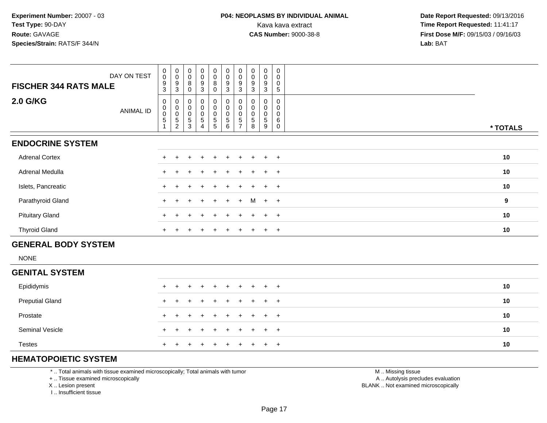| DAY ON TEST<br><b>FISCHER 344 RATS MALE</b> | $_{\rm 0}^{\rm 0}$<br>$\boldsymbol{9}$<br>3       | $\begin{smallmatrix}0\0\0\end{smallmatrix}$<br>9<br>3        | $_{\rm 0}^{\rm 0}$<br>8<br>0                           | $\begin{smallmatrix} 0\\0 \end{smallmatrix}$<br>$\boldsymbol{9}$<br>3 | $\pmb{0}$<br>$\mathbf 0$<br>8   | $_{\rm 0}^{\rm 0}$<br>$\boldsymbol{9}$<br>3              | $\pmb{0}$<br>$\pmb{0}$<br>$9\,$<br>3 | $\pmb{0}$<br>$\pmb{0}$<br>$\boldsymbol{9}$<br>3 | $\pmb{0}$<br>$\pmb{0}$<br>$\boldsymbol{9}$<br>3 | 0<br>0<br>0<br>5 |          |
|---------------------------------------------|---------------------------------------------------|--------------------------------------------------------------|--------------------------------------------------------|-----------------------------------------------------------------------|---------------------------------|----------------------------------------------------------|--------------------------------------|-------------------------------------------------|-------------------------------------------------|------------------|----------|
| 2.0 G/KG<br><b>ANIMAL ID</b>                | $\pmb{0}$<br>$_{\rm 0}^{\rm 0}$<br>$\overline{5}$ | 0<br>$\mathsf{O}\xspace$<br>$\pmb{0}$<br>5<br>$\overline{c}$ | $\boldsymbol{0}$<br>$\pmb{0}$<br>$\mathbf 0$<br>5<br>3 | $\mathbf 0$<br>$\pmb{0}$<br>$\pmb{0}$<br>$\overline{5}$<br>4          | 0<br>$\mathbf 0$<br>0<br>5<br>5 | 0<br>$\mathbf 0$<br>$\boldsymbol{0}$<br>$\,$ 5 $\,$<br>6 | 5                                    | 0<br>$\mathbf 0$<br>0<br>5<br>8                 | 0<br>$\pmb{0}$<br>0<br>$\sqrt{5}$<br>9          | 0<br>0<br>6<br>0 | * TOTALS |
| <b>ENDOCRINE SYSTEM</b>                     |                                                   |                                                              |                                                        |                                                                       |                                 |                                                          |                                      |                                                 |                                                 |                  |          |
| <b>Adrenal Cortex</b>                       |                                                   |                                                              |                                                        |                                                                       |                                 |                                                          |                                      |                                                 | $\div$                                          | $\overline{+}$   | 10       |
| Adrenal Medulla                             |                                                   |                                                              |                                                        |                                                                       | ÷                               |                                                          |                                      |                                                 | $\div$                                          | $+$              | 10       |
| Islets, Pancreatic                          |                                                   |                                                              |                                                        |                                                                       |                                 |                                                          |                                      |                                                 | $\ddot{}$                                       | $+$              | 10       |
| Parathyroid Gland                           |                                                   |                                                              | ÷.                                                     | $\div$                                                                | $+$                             | $+$                                                      | $+$                                  | M                                               | $+$ $+$                                         |                  | 9        |
| <b>Pituitary Gland</b>                      |                                                   |                                                              |                                                        |                                                                       | $+$                             | $\pm$                                                    |                                      |                                                 | $\pm$                                           | $+$              | 10       |
| <b>Thyroid Gland</b>                        | $\pm$                                             |                                                              |                                                        | $\overline{ }$                                                        | $+$                             | $+$                                                      | $+$                                  | $\pm$                                           | $+$                                             | $+$              | 10       |

# **GENERAL BODY SYSTEM**

NONE

| <b>GENITAL SYSTEM</b>  |  |                     |  |  |  |    |
|------------------------|--|---------------------|--|--|--|----|
| Epididymis             |  | + + + + + + + + + + |  |  |  | 10 |
| <b>Preputial Gland</b> |  | + + + + + + + + + + |  |  |  | 10 |
| Prostate               |  | + + + + + + + + + + |  |  |  | 10 |
| <b>Seminal Vesicle</b> |  | + + + + + + + + + + |  |  |  | 10 |
| <b>Testes</b>          |  | + + + + + + + + + + |  |  |  | 10 |

# **HEMATOPOIETIC SYSTEM**

\* .. Total animals with tissue examined microscopically; Total animals with tumor

+ .. Tissue examined microscopically

X .. Lesion present

I .. Insufficient tissue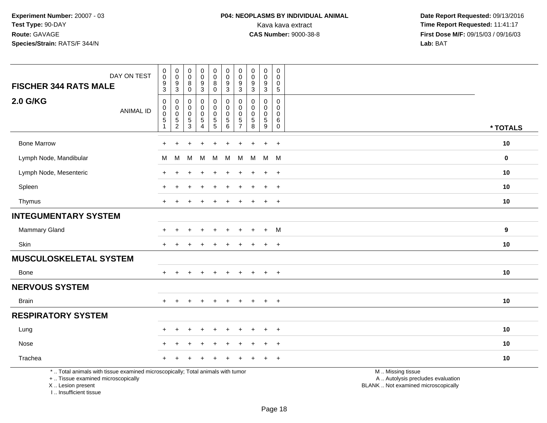# **P04: NEOPLASMS BY INDIVIDUAL ANIMAL**<br>Kava kava extract Kava kava extract **Time Report Requested:** 11:41:17<br>**CAS Number:** 9000-38-8 **Time Report Requested:** 11:41:17

 **Date Report Requested:** 09/13/2016 **First Dose M/F:** 09/15/03 / 09/16/03<br>Lab: BAT **Lab:** BAT

|                                                                                                                                            | $\pmb{0}$                             | $\boldsymbol{0}$                | $\pmb{0}$                       |                               | 0             |                                         | $\pmb{0}$                     | $\mathsf{O}\xspace$                 | $\mathbf 0$           | 0                    |                                                                                               |             |
|--------------------------------------------------------------------------------------------------------------------------------------------|---------------------------------------|---------------------------------|---------------------------------|-------------------------------|---------------|-----------------------------------------|-------------------------------|-------------------------------------|-----------------------|----------------------|-----------------------------------------------------------------------------------------------|-------------|
| DAY ON TEST                                                                                                                                | $\mathbf 0$                           | $\mathbf 0$<br>9                | $\pmb{0}$                       | $_{\rm 0}^{\rm 0}$            | 0<br>8        | $_{\rm 0}^{\rm 0}$                      | $\mathbf 0$<br>9              | $\mathbf 0$<br>9                    | $\mathbf 0$           | 0<br>0               |                                                                                               |             |
| <b>FISCHER 344 RATS MALE</b>                                                                                                               | $\frac{9}{3}$                         | $\mathbf{3}$                    | $_{\rm 0}^{\rm 8}$              | $\frac{9}{3}$                 | $\mathbf 0$   | $^9_3$                                  | $\mathbf{3}$                  | $\mathbf{3}$                        | $\frac{9}{3}$         | $\sqrt{5}$           |                                                                                               |             |
| <b>2.0 G/KG</b><br><b>ANIMAL ID</b>                                                                                                        | $\pmb{0}$<br>$\mathbf 0$<br>$\pmb{0}$ | 0<br>$\mathbf 0$<br>$\mathbf 0$ | 0<br>$\mathbf 0$<br>$\mathbf 0$ | 0<br>$\mathbf 0$<br>$\pmb{0}$ | 0<br>0<br>0   | $\pmb{0}$<br>$\mathbf 0$<br>$\mathbf 0$ | 0<br>$\Omega$<br>$\Omega$     | $\mathbf 0$<br>$\Omega$<br>$\Omega$ | 0<br>$\mathbf 0$<br>0 | 0<br>0<br>$\Omega$   |                                                                                               |             |
|                                                                                                                                            | $\,$ 5 $\,$<br>$\mathbf{1}$           | $\frac{5}{2}$                   | $\frac{5}{3}$                   | $\sqrt{5}$<br>$\overline{4}$  | $\frac{5}{5}$ | $\frac{5}{6}$                           | $\,$ 5 $\,$<br>$\overline{7}$ | $\sqrt{5}$<br>8                     | $5\,$<br>9            | $\,6$<br>$\mathbf 0$ |                                                                                               | * TOTALS    |
| <b>Bone Marrow</b>                                                                                                                         | $\ddot{}$                             | ÷                               |                                 | $\ddot{}$                     | $\ddot{}$     |                                         | $\ddot{}$                     |                                     | $\ddot{+}$            | $+$                  |                                                                                               | 10          |
| Lymph Node, Mandibular                                                                                                                     | М                                     | м                               | M                               | M                             | м             | м                                       | м                             | M                                   | M                     | M                    |                                                                                               | $\mathbf 0$ |
| Lymph Node, Mesenteric                                                                                                                     | $\div$                                |                                 |                                 |                               |               |                                         |                               |                                     | $\ddot{}$             | $+$                  |                                                                                               | 10          |
| Spleen                                                                                                                                     |                                       |                                 |                                 |                               |               |                                         |                               |                                     | $\ddot{+}$            | $+$                  |                                                                                               | 10          |
| Thymus                                                                                                                                     | $+$                                   | $\div$                          |                                 |                               | ÷             |                                         | ÷                             |                                     | $\ddot{}$             | $+$                  |                                                                                               | 10          |
| <b>INTEGUMENTARY SYSTEM</b>                                                                                                                |                                       |                                 |                                 |                               |               |                                         |                               |                                     |                       |                      |                                                                                               |             |
| Mammary Gland                                                                                                                              |                                       |                                 |                                 |                               |               |                                         |                               |                                     | $\ddot{}$             | M                    |                                                                                               | 9           |
| Skin                                                                                                                                       | $+$                                   | $\div$                          |                                 | $\div$                        | ÷             |                                         | ÷                             |                                     | $\ddot{}$             | $+$                  |                                                                                               | 10          |
| <b>MUSCULOSKELETAL SYSTEM</b>                                                                                                              |                                       |                                 |                                 |                               |               |                                         |                               |                                     |                       |                      |                                                                                               |             |
| Bone                                                                                                                                       | $\pm$                                 |                                 |                                 | $\div$                        | $\pm$         | $\pm$                                   | ÷                             |                                     | $\ddot{}$             | $+$                  |                                                                                               | 10          |
| <b>NERVOUS SYSTEM</b>                                                                                                                      |                                       |                                 |                                 |                               |               |                                         |                               |                                     |                       |                      |                                                                                               |             |
| <b>Brain</b>                                                                                                                               | $+$                                   | $\ddot{}$                       | $\ddot{}$                       | $+$                           | $+$           | $+$                                     | $+$                           | $+$                                 | $\ddot{}$             | $+$                  |                                                                                               | 10          |
| <b>RESPIRATORY SYSTEM</b>                                                                                                                  |                                       |                                 |                                 |                               |               |                                         |                               |                                     |                       |                      |                                                                                               |             |
| Lung                                                                                                                                       |                                       |                                 |                                 |                               |               |                                         |                               |                                     |                       | $\ddot{}$            |                                                                                               | 10          |
| Nose                                                                                                                                       |                                       |                                 |                                 |                               |               |                                         |                               |                                     | $\ddot{}$             | $+$                  |                                                                                               | 10          |
| Trachea                                                                                                                                    |                                       |                                 |                                 |                               |               |                                         |                               |                                     |                       | $\overline{+}$       |                                                                                               | 10          |
| *  Total animals with tissue examined microscopically; Total animals with tumor<br>+  Tissue examined microscopically<br>X  Lesion present |                                       |                                 |                                 |                               |               |                                         |                               |                                     |                       |                      | M  Missing tissue<br>A  Autolysis precludes evaluation<br>BLANK  Not examined microscopically |             |

I .. Insufficient tissue

pically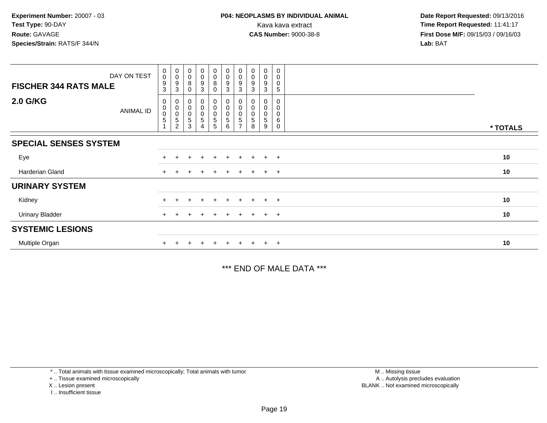| DAY ON TEST<br><b>FISCHER 344 RATS MALE</b> | $\begin{smallmatrix} 0\\0 \end{smallmatrix}$<br>$\boldsymbol{9}$<br>3 | $\begin{smallmatrix} 0\\0 \end{smallmatrix}$<br>9<br>3                                     | $_{\rm 0}^{\rm 0}$<br>8<br>$\mathbf 0$ | $_0^0$<br>9<br>3                | $\begin{smallmatrix}0\0\0\8\end{smallmatrix}$<br>0 | $_{\rm 0}^{\rm 0}$<br>$\boldsymbol{9}$<br>3 | $\begin{smallmatrix} 0\\0 \end{smallmatrix}$<br>$\boldsymbol{9}$<br>$\mathbf{3}$ | $_{\rm 0}^{\rm 0}$<br>9<br>3 | 0<br>0<br>9<br>3      | 0<br>$\mathbf 0$<br>$\mathbf 0$<br>5 |          |
|---------------------------------------------|-----------------------------------------------------------------------|--------------------------------------------------------------------------------------------|----------------------------------------|---------------------------------|----------------------------------------------------|---------------------------------------------|----------------------------------------------------------------------------------|------------------------------|-----------------------|--------------------------------------|----------|
| 2.0 G/KG<br><b>ANIMAL ID</b>                | 0<br>$\pmb{0}$<br>$\mathbf 0$<br>5                                    | $\pmb{0}$<br>$\begin{smallmatrix} 0\\0 \end{smallmatrix}$<br>$\mathbf 5$<br>$\overline{c}$ | 0<br>$\mathbf 0$<br>5<br>3             | 0<br>0<br>$\mathsf 0$<br>5<br>4 | 0<br>0<br>$\mathbf 0$<br>5<br>$5\phantom{.0}$      | $\pmb{0}$<br>$\mathbf 0$<br>5<br>6          | $\pmb{0}$<br>$\mathbf 0$<br>$\,$ 5 $\,$                                          | 0<br>0<br>5<br>8             | 0<br>0<br>0<br>5<br>9 | 0<br>0<br>6<br>0                     | * TOTALS |
| <b>SPECIAL SENSES SYSTEM</b>                |                                                                       |                                                                                            |                                        |                                 |                                                    |                                             |                                                                                  |                              |                       |                                      |          |
| Eye                                         |                                                                       |                                                                                            |                                        |                                 | $\pm$                                              |                                             |                                                                                  | $\div$                       | ÷                     | $+$                                  | 10       |
| Harderian Gland                             | $\pm$                                                                 |                                                                                            |                                        |                                 | $\pm$                                              | $\pm$                                       | $+$                                                                              | $+$                          | $+$                   | $+$                                  | 10       |
| <b>URINARY SYSTEM</b>                       |                                                                       |                                                                                            |                                        |                                 |                                                    |                                             |                                                                                  |                              |                       |                                      |          |
| Kidney                                      |                                                                       |                                                                                            |                                        |                                 | $+$                                                |                                             |                                                                                  |                              | $\pm$                 | $+$                                  | 10       |
| <b>Urinary Bladder</b>                      |                                                                       |                                                                                            |                                        |                                 | $+$                                                | $+$                                         | $\pm$                                                                            | $+$                          | $+$                   | $+$                                  | 10       |
| <b>SYSTEMIC LESIONS</b>                     |                                                                       |                                                                                            |                                        |                                 |                                                    |                                             |                                                                                  |                              |                       |                                      |          |
| Multiple Organ                              |                                                                       |                                                                                            |                                        |                                 |                                                    |                                             |                                                                                  |                              | $\pm$                 | $+$                                  | 10       |

\*\*\* END OF MALE DATA \*\*\*

\* .. Total animals with tissue examined microscopically; Total animals with tumor

+ .. Tissue examined microscopically

X .. Lesion present

I .. Insufficient tissue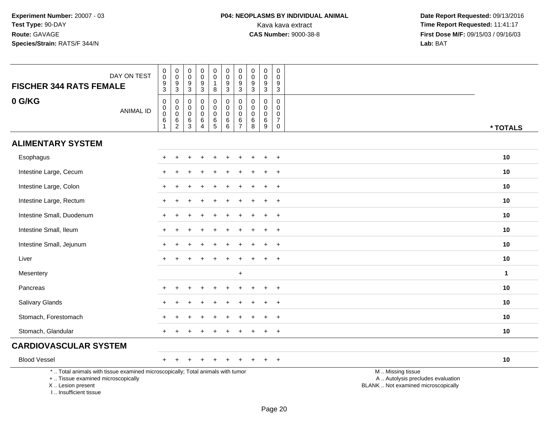| <b>FISCHER 344 RATS FEMALE</b>                                                                                                                                      | DAY ON TEST      | $\boldsymbol{0}$<br>$\mathsf{O}\xspace$<br>$\frac{9}{3}$ | $\,0\,$<br>$\mathbf 0$<br>$\boldsymbol{9}$<br>$\mathbf{3}$       | $\pmb{0}$<br>$\mathsf{O}\xspace$<br>$\boldsymbol{9}$<br>$\sqrt{3}$ | $\pmb{0}$<br>$\mathbf 0$<br>$\boldsymbol{9}$<br>$\mathbf{3}$            | $\pmb{0}$<br>$\mathbf 0$<br>$\mathbf{1}$<br>8         | $\boldsymbol{0}$<br>$\mathbf 0$<br>$9\,$<br>3        | $\pmb{0}$<br>$\pmb{0}$<br>$\boldsymbol{9}$<br>$\mathbf{3}$         | $\pmb{0}$<br>$\mathbf 0$<br>9<br>$\mathbf{3}$   | $\pmb{0}$<br>$\mathbf 0$<br>9<br>3                 | $\pmb{0}$<br>$\mathbf 0$<br>9<br>$\mathbf{3}$                                    |                                                                                               |  |
|---------------------------------------------------------------------------------------------------------------------------------------------------------------------|------------------|----------------------------------------------------------|------------------------------------------------------------------|--------------------------------------------------------------------|-------------------------------------------------------------------------|-------------------------------------------------------|------------------------------------------------------|--------------------------------------------------------------------|-------------------------------------------------|----------------------------------------------------|----------------------------------------------------------------------------------|-----------------------------------------------------------------------------------------------|--|
| 0 G/KG                                                                                                                                                              | <b>ANIMAL ID</b> | $\mathbf 0$<br>$_{\rm 0}^{\rm 0}$<br>6<br>$\mathbf{1}$   | $\mathsf 0$<br>$\mathsf 0$<br>$\mathsf 0$<br>6<br>$\overline{2}$ | $\mathbf 0$<br>0<br>$\mathbf 0$<br>$\,6$<br>$\overline{3}$         | $\pmb{0}$<br>$\mathbf 0$<br>$\mathbf 0$<br>6<br>$\overline{\mathbf{4}}$ | $\pmb{0}$<br>$\mathbf 0$<br>$\mathbf 0$<br>$6\over 5$ | 0<br>$\overline{0}$<br>$\mathsf{O}\xspace$<br>$^6_6$ | $\pmb{0}$<br>$\pmb{0}$<br>$\mathbf 0$<br>$\,6\,$<br>$\overline{7}$ | $\mathbf 0$<br>0<br>$\mathbf 0$<br>6<br>$\,8\,$ | $\pmb{0}$<br>$\Omega$<br>$\mathbf 0$<br>6<br>$9\,$ | $\mathsf{O}\xspace$<br>$\mathbf 0$<br>$\mathbf 0$<br>$\overline{7}$<br>$\pmb{0}$ | * TOTALS                                                                                      |  |
| <b>ALIMENTARY SYSTEM</b>                                                                                                                                            |                  |                                                          |                                                                  |                                                                    |                                                                         |                                                       |                                                      |                                                                    |                                                 |                                                    |                                                                                  |                                                                                               |  |
| Esophagus                                                                                                                                                           |                  |                                                          |                                                                  |                                                                    |                                                                         |                                                       |                                                      |                                                                    |                                                 |                                                    | $\overline{1}$                                                                   | 10                                                                                            |  |
| Intestine Large, Cecum                                                                                                                                              |                  |                                                          |                                                                  |                                                                    |                                                                         |                                                       |                                                      |                                                                    |                                                 |                                                    | $\ddot{}$                                                                        | 10                                                                                            |  |
| Intestine Large, Colon                                                                                                                                              |                  |                                                          |                                                                  |                                                                    |                                                                         |                                                       |                                                      |                                                                    |                                                 |                                                    | $\ddot{}$                                                                        | 10                                                                                            |  |
| Intestine Large, Rectum                                                                                                                                             |                  |                                                          |                                                                  |                                                                    |                                                                         |                                                       |                                                      |                                                                    |                                                 |                                                    | $\ddot{}$                                                                        | 10                                                                                            |  |
| Intestine Small, Duodenum                                                                                                                                           |                  |                                                          |                                                                  |                                                                    |                                                                         |                                                       |                                                      |                                                                    |                                                 |                                                    | $\div$                                                                           | 10                                                                                            |  |
| Intestine Small, Ileum                                                                                                                                              |                  |                                                          |                                                                  |                                                                    |                                                                         |                                                       |                                                      |                                                                    |                                                 |                                                    | $\overline{ }$                                                                   | 10                                                                                            |  |
| Intestine Small, Jejunum                                                                                                                                            |                  |                                                          |                                                                  |                                                                    |                                                                         |                                                       |                                                      |                                                                    |                                                 |                                                    | $\ddot{}$                                                                        | 10                                                                                            |  |
| Liver                                                                                                                                                               |                  |                                                          |                                                                  |                                                                    |                                                                         |                                                       |                                                      |                                                                    |                                                 |                                                    | $\overline{+}$                                                                   | 10                                                                                            |  |
| Mesentery                                                                                                                                                           |                  |                                                          |                                                                  |                                                                    |                                                                         |                                                       |                                                      | $\ddot{}$                                                          |                                                 |                                                    |                                                                                  | $\mathbf{1}$                                                                                  |  |
| Pancreas                                                                                                                                                            |                  |                                                          |                                                                  |                                                                    |                                                                         |                                                       |                                                      |                                                                    |                                                 |                                                    | $^{+}$                                                                           | 10                                                                                            |  |
| Salivary Glands                                                                                                                                                     |                  |                                                          |                                                                  |                                                                    |                                                                         |                                                       |                                                      |                                                                    |                                                 |                                                    | $\ddot{}$                                                                        | 10                                                                                            |  |
| Stomach, Forestomach                                                                                                                                                |                  |                                                          |                                                                  |                                                                    |                                                                         |                                                       |                                                      |                                                                    |                                                 |                                                    |                                                                                  | 10                                                                                            |  |
| Stomach, Glandular                                                                                                                                                  |                  | $+$                                                      |                                                                  |                                                                    |                                                                         |                                                       |                                                      |                                                                    |                                                 |                                                    | $\ddot{}$                                                                        | 10                                                                                            |  |
| <b>CARDIOVASCULAR SYSTEM</b>                                                                                                                                        |                  |                                                          |                                                                  |                                                                    |                                                                         |                                                       |                                                      |                                                                    |                                                 |                                                    |                                                                                  |                                                                                               |  |
| <b>Blood Vessel</b>                                                                                                                                                 |                  | $+$                                                      |                                                                  |                                                                    |                                                                         | $\div$                                                |                                                      |                                                                    |                                                 |                                                    | $+$                                                                              | 10                                                                                            |  |
| *  Total animals with tissue examined microscopically; Total animals with tumor<br>+  Tissue examined microscopically<br>X  Lesion present<br>I Insufficient tissue |                  |                                                          |                                                                  |                                                                    |                                                                         |                                                       |                                                      |                                                                    |                                                 |                                                    |                                                                                  | M  Missing tissue<br>A  Autolysis precludes evaluation<br>BLANK  Not examined microscopically |  |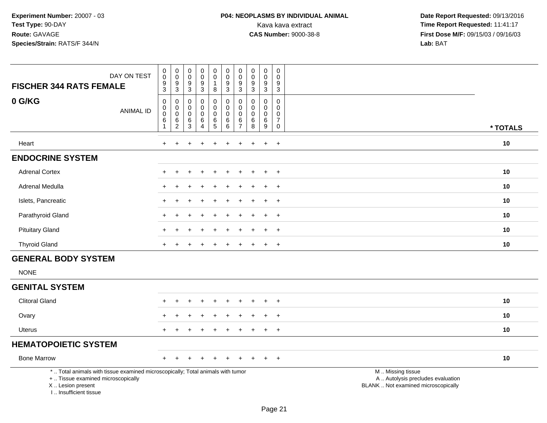| DAY ON TEST<br><b>FISCHER 344 RATS FEMALE</b>                                                                                                                       | 0<br>$\mathbf 0$<br>9<br>$\overline{3}$            | $\mathbf 0$<br>$\mathbf 0$<br>9<br>$\overline{3}$ | $\boldsymbol{0}$<br>$\ddot{\mathbf{0}}$<br>$\boldsymbol{9}$<br>$\overline{3}$ | $\pmb{0}$<br>$\pmb{0}$<br>$\frac{9}{3}$              | $\mathbf 0$<br>$\mathsf{O}\xspace$<br>$\mathbf{1}$<br>$\bf 8$ | $\pmb{0}$<br>$\mathbf 0$<br>9<br>$\overline{3}$                        | $\pmb{0}$<br>$\mathbf 0$<br>9<br>$\sqrt{3}$            | $\begin{smallmatrix} 0\\0 \end{smallmatrix}$<br>$\boldsymbol{9}$<br>$\overline{3}$ | $\pmb{0}$<br>$\overline{0}$<br>9<br>$\overline{3}$ | $\mathsf{O}$<br>$\pmb{0}$<br>9<br>$\overline{3}$ |                                                                                               |          |
|---------------------------------------------------------------------------------------------------------------------------------------------------------------------|----------------------------------------------------|---------------------------------------------------|-------------------------------------------------------------------------------|------------------------------------------------------|---------------------------------------------------------------|------------------------------------------------------------------------|--------------------------------------------------------|------------------------------------------------------------------------------------|----------------------------------------------------|--------------------------------------------------|-----------------------------------------------------------------------------------------------|----------|
| 0 G/KG<br><b>ANIMAL ID</b>                                                                                                                                          | $\mathsf 0$<br>0<br>$\pmb{0}$<br>6<br>$\mathbf{1}$ | 0<br>$\mathbf 0$<br>$\pmb{0}$<br>$^6_2$           | 0<br>$\mathbf 0$<br>$\pmb{0}$<br>$\frac{6}{3}$                                | $\pmb{0}$<br>0<br>$\mathsf 0$<br>6<br>$\overline{4}$ | $\pmb{0}$<br>$\mathbf 0$<br>$\mathbf 0$<br>$6\over 5$         | $\mathbf 0$<br>$\mathbf 0$<br>$\mathbf 0$<br>$\,6\,$<br>$6\phantom{a}$ | 0<br>$\mathbf 0$<br>$\mathbf 0$<br>6<br>$\overline{7}$ | 0<br>$\mathbf 0$<br>$\pmb{0}$<br>$^6_8$                                            | 0<br>0<br>$\mathbf 0$<br>$^6_9$                    | 0<br>0<br>0<br>$\overline{7}$<br>$\mathbf 0$     |                                                                                               | * TOTALS |
| Heart                                                                                                                                                               | ÷.                                                 |                                                   |                                                                               |                                                      |                                                               |                                                                        |                                                        |                                                                                    | $\ddot{}$                                          | $\ddot{}$                                        |                                                                                               | $10$     |
| <b>ENDOCRINE SYSTEM</b>                                                                                                                                             |                                                    |                                                   |                                                                               |                                                      |                                                               |                                                                        |                                                        |                                                                                    |                                                    |                                                  |                                                                                               |          |
| <b>Adrenal Cortex</b>                                                                                                                                               |                                                    |                                                   |                                                                               |                                                      |                                                               |                                                                        |                                                        |                                                                                    | $\div$                                             | $\overline{+}$                                   |                                                                                               | 10       |
| <b>Adrenal Medulla</b>                                                                                                                                              |                                                    |                                                   |                                                                               |                                                      |                                                               |                                                                        |                                                        |                                                                                    | $\div$                                             | $+$                                              |                                                                                               | 10       |
| Islets, Pancreatic                                                                                                                                                  |                                                    |                                                   |                                                                               |                                                      |                                                               |                                                                        |                                                        |                                                                                    | $\ddot{}$                                          | $+$                                              |                                                                                               | 10       |
| Parathyroid Gland                                                                                                                                                   |                                                    |                                                   |                                                                               |                                                      |                                                               |                                                                        |                                                        |                                                                                    | $\ddot{}$                                          | $\ddot{}$                                        |                                                                                               | 10       |
| <b>Pituitary Gland</b>                                                                                                                                              |                                                    |                                                   |                                                                               |                                                      |                                                               |                                                                        |                                                        |                                                                                    |                                                    | $+$                                              |                                                                                               | 10       |
| <b>Thyroid Gland</b>                                                                                                                                                |                                                    |                                                   |                                                                               |                                                      |                                                               |                                                                        |                                                        |                                                                                    | $\ddot{}$                                          | $+$                                              |                                                                                               | 10       |
| <b>GENERAL BODY SYSTEM</b><br><b>NONE</b>                                                                                                                           |                                                    |                                                   |                                                                               |                                                      |                                                               |                                                                        |                                                        |                                                                                    |                                                    |                                                  |                                                                                               |          |
| <b>GENITAL SYSTEM</b>                                                                                                                                               |                                                    |                                                   |                                                                               |                                                      |                                                               |                                                                        |                                                        |                                                                                    |                                                    |                                                  |                                                                                               |          |
| <b>Clitoral Gland</b>                                                                                                                                               |                                                    |                                                   |                                                                               |                                                      |                                                               |                                                                        |                                                        |                                                                                    |                                                    | $+$                                              |                                                                                               | 10       |
| Ovary                                                                                                                                                               |                                                    |                                                   |                                                                               |                                                      |                                                               |                                                                        |                                                        |                                                                                    |                                                    | $\overline{+}$                                   |                                                                                               | 10       |
| Uterus                                                                                                                                                              |                                                    |                                                   |                                                                               |                                                      |                                                               |                                                                        |                                                        |                                                                                    | $\ddot{}$                                          | $\overline{+}$                                   |                                                                                               | 10       |
| <b>HEMATOPOIETIC SYSTEM</b>                                                                                                                                         |                                                    |                                                   |                                                                               |                                                      |                                                               |                                                                        |                                                        |                                                                                    |                                                    |                                                  |                                                                                               |          |
| <b>Bone Marrow</b>                                                                                                                                                  | $+$                                                |                                                   |                                                                               |                                                      |                                                               |                                                                        |                                                        |                                                                                    | $\ddot{}$                                          | $+$                                              |                                                                                               | 10       |
| *  Total animals with tissue examined microscopically; Total animals with tumor<br>+  Tissue examined microscopically<br>X  Lesion present<br>I Insufficient tissue |                                                    |                                                   |                                                                               |                                                      |                                                               |                                                                        |                                                        |                                                                                    |                                                    |                                                  | M  Missing tissue<br>A  Autolysis precludes evaluation<br>BLANK  Not examined microscopically |          |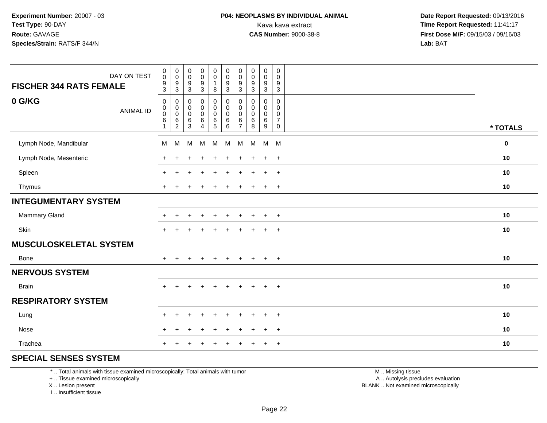| DAY ON TEST                    | $\begin{smallmatrix} 0\\0 \end{smallmatrix}$                                     | $_{\rm 0}^{\rm 0}$                                                             | $\pmb{0}$<br>$\ddot{\mathbf{0}}$ | $_{\rm 0}^{\rm 0}$                                           | $\pmb{0}$<br>$\overline{0}$                                | $\begin{array}{c} 0 \\ 0 \\ 9 \\ 3 \end{array}$                             | $\pmb{0}$<br>$\mathbf 0$                               | $\pmb{0}$<br>$\pmb{0}$                    | $\mathbf 0$<br>$\mathbf 0$                         | $\pmb{0}$<br>$\mathbf 0$                                                 |          |
|--------------------------------|----------------------------------------------------------------------------------|--------------------------------------------------------------------------------|----------------------------------|--------------------------------------------------------------|------------------------------------------------------------|-----------------------------------------------------------------------------|--------------------------------------------------------|-------------------------------------------|----------------------------------------------------|--------------------------------------------------------------------------|----------|
| <b>FISCHER 344 RATS FEMALE</b> | $\frac{9}{3}$                                                                    | $\boldsymbol{9}$<br>$\overline{3}$                                             | $\boldsymbol{9}$<br>$\sqrt{3}$   | $\frac{9}{3}$                                                | $\mathbf{1}$<br>$\bf 8$                                    |                                                                             | $\boldsymbol{9}$<br>$\mathbf{3}$                       | $\boldsymbol{9}$<br>$\sqrt{3}$            | $\frac{9}{3}$                                      | $\frac{9}{3}$                                                            |          |
| 0 G/KG<br><b>ANIMAL ID</b>     | $\boldsymbol{0}$<br>$\begin{smallmatrix} 0\\0 \end{smallmatrix}$<br>$\,6\,$<br>1 | 0<br>$\begin{smallmatrix} 0\\0 \end{smallmatrix}$<br>$\,6\,$<br>$\overline{c}$ | 0<br>0<br>$\pmb{0}$<br>6<br>3    | 0<br>$\pmb{0}$<br>$\mathsf{O}\xspace$<br>6<br>$\overline{4}$ | 0<br>$\begin{matrix} 0 \\ 0 \end{matrix}$<br>$\frac{6}{5}$ | $\boldsymbol{0}$<br>$\overline{0}$<br>$\begin{array}{c} 6 \\ 6 \end{array}$ | 0<br>$\mathbf 0$<br>$\mathbf 0$<br>6<br>$\overline{7}$ | 0<br>$\mathbf 0$<br>$\mathbf 0$<br>6<br>8 | 0<br>0<br>$\mathbf 0$<br>$\,6$<br>$\boldsymbol{9}$ | $\mathbf 0$<br>0<br>$\mathsf{O}\xspace$<br>$\overline{7}$<br>$\mathbf 0$ | * TOTALS |
| Lymph Node, Mandibular         | M                                                                                | M                                                                              | М                                | M                                                            | M                                                          | M                                                                           | M                                                      | M                                         | M                                                  | M                                                                        | $\bf{0}$ |
| Lymph Node, Mesenteric         | $\pm$                                                                            | $\div$                                                                         |                                  | $\div$                                                       | $\ddot{}$                                                  | $\pm$                                                                       | $\ddot{}$                                              | ÷                                         | $\ddot{}$                                          | $+$                                                                      | 10       |
| Spleen                         | $\ddot{}$                                                                        | $+$                                                                            |                                  | $\ddot{}$                                                    | $\ddot{}$                                                  | $\ddot{}$                                                                   | $\pm$                                                  | $\pm$                                     | $\ddot{}$                                          | $+$                                                                      | 10       |
| Thymus                         | $\pm$                                                                            |                                                                                |                                  | $\ddot{}$                                                    | $\ddot{}$                                                  | $\ddot{}$                                                                   | $\pm$                                                  | ÷                                         | $\ddot{}$                                          | $+$                                                                      | 10       |
| <b>INTEGUMENTARY SYSTEM</b>    |                                                                                  |                                                                                |                                  |                                                              |                                                            |                                                                             |                                                        |                                           |                                                    |                                                                          |          |
| Mammary Gland                  | $\ddot{}$                                                                        | $\div$                                                                         |                                  | $\ddot{}$                                                    | $\ddot{}$                                                  | $\ddot{}$                                                                   | $\pm$                                                  | ÷                                         | $\ddot{}$                                          | $+$                                                                      | 10       |
| Skin                           | $+$                                                                              | $\div$                                                                         |                                  |                                                              |                                                            |                                                                             |                                                        |                                           | $\ddot{}$                                          | $+$                                                                      | 10       |
| MUSCULOSKELETAL SYSTEM         |                                                                                  |                                                                                |                                  |                                                              |                                                            |                                                                             |                                                        |                                           |                                                    |                                                                          |          |
| Bone                           | $\ddot{}$                                                                        |                                                                                |                                  |                                                              | $\ddot{}$                                                  | $\div$                                                                      | $\pm$                                                  | ÷                                         | $\ddot{}$                                          | $+$                                                                      | 10       |
| <b>NERVOUS SYSTEM</b>          |                                                                                  |                                                                                |                                  |                                                              |                                                            |                                                                             |                                                        |                                           |                                                    |                                                                          |          |
| <b>Brain</b>                   | $+$                                                                              | $+$                                                                            | $\ddot{}$                        | $+$                                                          | $+$                                                        | $+$                                                                         | $\ddot{}$                                              | $+$                                       | $+$                                                | $+$                                                                      | 10       |
| <b>RESPIRATORY SYSTEM</b>      |                                                                                  |                                                                                |                                  |                                                              |                                                            |                                                                             |                                                        |                                           |                                                    |                                                                          |          |
| Lung                           | $\div$                                                                           | $\div$                                                                         |                                  | $\div$                                                       | $\pm$                                                      |                                                                             |                                                        |                                           | $\ddot{}$                                          | $^{+}$                                                                   | 10       |
| Nose                           | $+$                                                                              | $\ddot{}$                                                                      | ⊣                                | $\div$                                                       | $\ddot{}$                                                  | $\div$                                                                      | ÷                                                      |                                           | $\ddot{}$                                          | $+$                                                                      | 10       |
| Trachea                        |                                                                                  |                                                                                |                                  |                                                              |                                                            |                                                                             |                                                        |                                           | $\ddot{}$                                          | $+$                                                                      | 10       |

# **SPECIAL SENSES SYSTEM**

\* .. Total animals with tissue examined microscopically; Total animals with tumor

+ .. Tissue examined microscopically

X .. Lesion present

I .. Insufficient tissue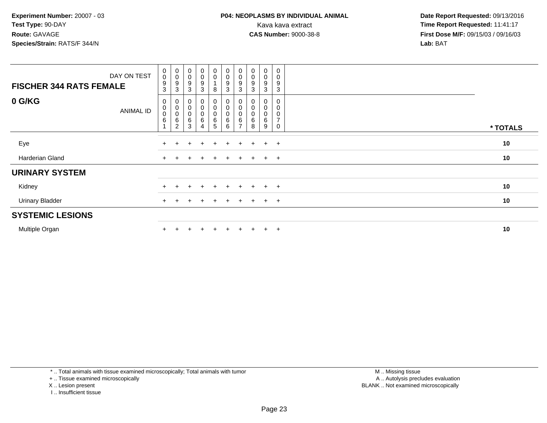| DAY ON TEST<br><b>FISCHER 344 RATS FEMALE</b> | $_{\rm 0}^{\rm 0}$<br>9<br>3             | $_{\rm 0}^{\rm 0}$<br>9<br>3                | $_{\rm 0}^{\rm 0}$<br>9<br>$\mathbf{3}$       | $\begin{smallmatrix} 0\\0 \end{smallmatrix}$<br>$\boldsymbol{9}$<br>3 | $\begin{smallmatrix} 0\\0 \end{smallmatrix}$<br>8 | $\begin{smallmatrix} 0\\0 \end{smallmatrix}$<br>$\boldsymbol{9}$<br>3 | $_{\rm 0}^{\rm 0}$<br>9<br>3                 | $_{\rm 0}^{\rm 0}$<br>9<br>3 | $\begin{smallmatrix}0\0\0\end{smallmatrix}$<br>$\boldsymbol{9}$<br>3 | 0<br>0<br>9<br>3                   |          |
|-----------------------------------------------|------------------------------------------|---------------------------------------------|-----------------------------------------------|-----------------------------------------------------------------------|---------------------------------------------------|-----------------------------------------------------------------------|----------------------------------------------|------------------------------|----------------------------------------------------------------------|------------------------------------|----------|
| 0 G/KG<br><b>ANIMAL ID</b>                    | 0<br>$\pmb{0}$<br>$\mathbf 0$<br>$\,6\,$ | 0<br>$\pmb{0}$<br>$\mathsf 0$<br>$\,6$<br>2 | $\pmb{0}$<br>$\pmb{0}$<br>$\pmb{0}$<br>6<br>3 | 0<br>$\begin{matrix} 0 \\ 0 \end{matrix}$<br>6<br>4                   | 0<br>$\pmb{0}$<br>0<br>6<br>5                     | 0<br>$\begin{smallmatrix}0\\0\end{smallmatrix}$<br>$\,6\,$<br>6       | 0<br>0<br>$\mathsf 0$<br>6<br>$\overline{ }$ | 6<br>8                       | 0<br>$\pmb{0}$<br>0<br>6<br>9                                        | 0<br>0<br>0<br>$\overline{ }$<br>0 | * TOTALS |
| Eye                                           |                                          |                                             |                                               | $\div$                                                                | $\pm$                                             | $\pm$                                                                 | ÷                                            | $+$                          | $+$                                                                  | $+$                                | 10       |
| Harderian Gland                               |                                          |                                             |                                               | ÷                                                                     | $\ddot{}$                                         | $\pm$                                                                 | $^+$                                         | $+$                          | $+$ $+$                                                              |                                    | 10       |
| <b>URINARY SYSTEM</b>                         |                                          |                                             |                                               |                                                                       |                                                   |                                                                       |                                              |                              |                                                                      |                                    |          |
| Kidney                                        |                                          |                                             |                                               |                                                                       | $+$                                               | $\pm$                                                                 | $\div$                                       |                              | $+$                                                                  | $+$                                | 10       |
| <b>Urinary Bladder</b>                        | $+$                                      |                                             |                                               | $\pm$                                                                 | $+$                                               | $+$                                                                   | $\pm$                                        | $+$                          | $+$ $+$                                                              |                                    | 10       |
| <b>SYSTEMIC LESIONS</b>                       |                                          |                                             |                                               |                                                                       |                                                   |                                                                       |                                              |                              |                                                                      |                                    |          |
| Multiple Organ                                |                                          |                                             |                                               | $\div$                                                                | $\pm$                                             | $\div$                                                                |                                              |                              | $+$                                                                  | $+$                                | 10       |

\* .. Total animals with tissue examined microscopically; Total animals with tumor

+ .. Tissue examined microscopically

- X .. Lesion present
- I .. Insufficient tissue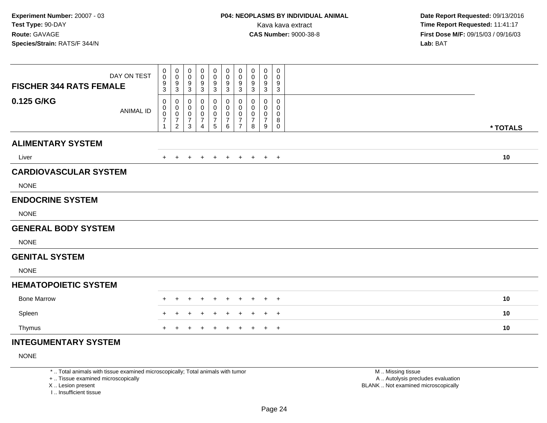| <b>FISCHER 344 RATS FEMALE</b> | DAY ON TEST      | 0<br>$\mathbf 0$<br>9                                        | $\boldsymbol{0}$<br>$\pmb{0}$<br>$\boldsymbol{9}$                               | 0<br>$\mathbf 0$<br>9                              | 0<br>$\mathbf 0$<br>9                                           | 0<br>$\mathbf 0$<br>9                                            | 0<br>$\pmb{0}$<br>9                                  | 0<br>$\mathbf 0$<br>9                                                   | 0<br>0<br>9                             | $\mathbf 0$<br>0<br>9                              | 0<br>0<br>9                |          |
|--------------------------------|------------------|--------------------------------------------------------------|---------------------------------------------------------------------------------|----------------------------------------------------|-----------------------------------------------------------------|------------------------------------------------------------------|------------------------------------------------------|-------------------------------------------------------------------------|-----------------------------------------|----------------------------------------------------|----------------------------|----------|
| 0.125 G/KG                     | <b>ANIMAL ID</b> | 3<br>0<br>$\mathbf 0$<br>0<br>$\overline{7}$<br>$\mathbf{1}$ | $\mathbf{3}$<br>0<br>$\pmb{0}$<br>$\pmb{0}$<br>$\overline{7}$<br>$\overline{2}$ | $\mathbf{3}$<br>0<br>0<br>0<br>$\overline{7}$<br>3 | $\mathbf{3}$<br>0<br>0<br>0<br>$\overline{7}$<br>$\overline{4}$ | $\mathbf{3}$<br>0<br>0<br>0<br>$\overline{7}$<br>$5\phantom{.0}$ | $\mathbf{3}$<br>0<br>0<br>0<br>$\boldsymbol{7}$<br>6 | $\sqrt{3}$<br>0<br>$\mathbf 0$<br>0<br>$\overline{7}$<br>$\overline{7}$ | 3<br>0<br>0<br>0<br>$\overline{7}$<br>8 | $\mathbf{3}$<br>0<br>0<br>0<br>$\overline{7}$<br>9 | 3<br>0<br>0<br>0<br>8<br>0 |          |
| <b>ALIMENTARY SYSTEM</b>       |                  |                                                              |                                                                                 |                                                    |                                                                 |                                                                  |                                                      |                                                                         |                                         |                                                    |                            | * TOTALS |
| Liver                          |                  | $+$                                                          | $+$                                                                             | $+$                                                | $+$                                                             | $+$                                                              | $+$                                                  | $+$                                                                     | $+$                                     |                                                    | $+$ $+$                    | 10       |
| <b>CARDIOVASCULAR SYSTEM</b>   |                  |                                                              |                                                                                 |                                                    |                                                                 |                                                                  |                                                      |                                                                         |                                         |                                                    |                            |          |
| <b>NONE</b>                    |                  |                                                              |                                                                                 |                                                    |                                                                 |                                                                  |                                                      |                                                                         |                                         |                                                    |                            |          |
| <b>ENDOCRINE SYSTEM</b>        |                  |                                                              |                                                                                 |                                                    |                                                                 |                                                                  |                                                      |                                                                         |                                         |                                                    |                            |          |
| <b>NONE</b>                    |                  |                                                              |                                                                                 |                                                    |                                                                 |                                                                  |                                                      |                                                                         |                                         |                                                    |                            |          |
| <b>GENERAL BODY SYSTEM</b>     |                  |                                                              |                                                                                 |                                                    |                                                                 |                                                                  |                                                      |                                                                         |                                         |                                                    |                            |          |
| <b>NONE</b>                    |                  |                                                              |                                                                                 |                                                    |                                                                 |                                                                  |                                                      |                                                                         |                                         |                                                    |                            |          |
| <b>GENITAL SYSTEM</b>          |                  |                                                              |                                                                                 |                                                    |                                                                 |                                                                  |                                                      |                                                                         |                                         |                                                    |                            |          |
| <b>NONE</b>                    |                  |                                                              |                                                                                 |                                                    |                                                                 |                                                                  |                                                      |                                                                         |                                         |                                                    |                            |          |
| <b>HEMATOPOIETIC SYSTEM</b>    |                  |                                                              |                                                                                 |                                                    |                                                                 |                                                                  |                                                      |                                                                         |                                         |                                                    |                            |          |
| <b>Bone Marrow</b>             |                  | $\pm$                                                        | $\pm$                                                                           | $\ddot{}$                                          | +                                                               | $\ddot{}$                                                        | $\overline{+}$                                       | $\pm$                                                                   | $\ddot{}$                               | $+$                                                | $+$                        | 10       |
| Spleen                         |                  |                                                              |                                                                                 |                                                    |                                                                 |                                                                  | ÷                                                    |                                                                         |                                         | $+$                                                | $+$                        | 10       |
| Thymus                         |                  | $\ddot{}$                                                    |                                                                                 | ٠                                                  |                                                                 | $\ddot{}$                                                        | $\ddot{}$                                            | $\ddot{}$                                                               | $\ddot{}$                               |                                                    | $+$ $+$                    | 10       |
| <b>INTEGUMENTARY SYSTEM</b>    |                  |                                                              |                                                                                 |                                                    |                                                                 |                                                                  |                                                      |                                                                         |                                         |                                                    |                            |          |

NONE

\* .. Total animals with tissue examined microscopically; Total animals with tumor

+ .. Tissue examined microscopically

X .. Lesion present

I .. Insufficient tissue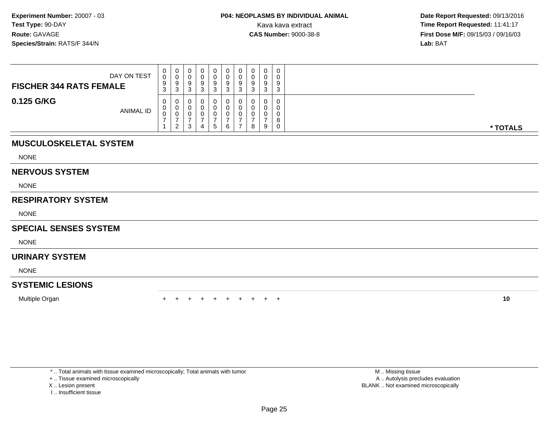| DAY ON TEST<br><b>FISCHER 344 RATS FEMALE</b> | 0<br>0<br>9<br>ົ<br>J | -0<br>◡<br>9<br>-3 |  | 9      | O<br>◡ | 0<br>v<br>9<br>ີ<br>J |   | $\Omega$<br>O | 0<br>0<br>9<br>3      |          |
|-----------------------------------------------|-----------------------|--------------------|--|--------|--------|-----------------------|---|---------------|-----------------------|----------|
| 0.125 G/KG<br>ANIMAL ID                       | 0<br>$\cup$<br>0      | 0<br>0<br>U<br>ົາ  |  | O<br>5 | А      | v<br>υ<br>◡           | 8 | 9             | 0<br>O<br>0<br>8<br>0 | * TOTALS |

# **MUSCULOSKELETAL SYSTEM**

NONE

#### **NERVOUS SYSTEM**

NONE

# **RESPIRATORY SYSTEM**

NONE

### **SPECIAL SENSES SYSTEM**

NONE

# **URINARY SYSTEM**

NONE

# **SYSTEMIC LESIONS**

Multiple Organn  $+$ 

<sup>+</sup> <sup>+</sup> <sup>+</sup> <sup>+</sup> <sup>+</sup> <sup>+</sup> <sup>+</sup> <sup>+</sup> <sup>+</sup> **<sup>10</sup>**

\* .. Total animals with tissue examined microscopically; Total animals with tumor

+ .. Tissue examined microscopically

- X .. Lesion present
- I .. Insufficient tissue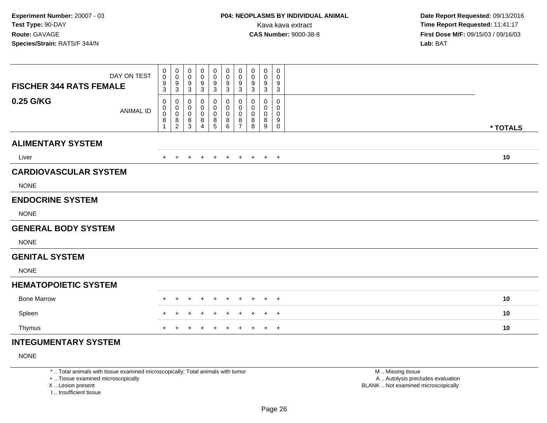| DAY ON TEST<br><b>FISCHER 344 RATS FEMALE</b> | 0<br>0<br>9<br>3           | $\boldsymbol{0}$<br>$\pmb{0}$<br>$\boldsymbol{9}$<br>$\mathbf{3}$ | 0<br>0<br>9<br>3                       | 0<br>0<br>9<br>3      | 0<br>$\mathbf 0$<br>9<br>3                | 0<br>$\pmb{0}$<br>9<br>$\mathbf{3}$ | 0<br>$\mathbf 0$<br>9<br>3                   | 0<br>0<br>9<br>3      | $\pmb{0}$<br>0<br>9<br>3 | 0<br>0<br>9<br>3                |          |  |
|-----------------------------------------------|----------------------------|-------------------------------------------------------------------|----------------------------------------|-----------------------|-------------------------------------------|-------------------------------------|----------------------------------------------|-----------------------|--------------------------|---------------------------------|----------|--|
| 0.25 G/KG<br><b>ANIMAL ID</b>                 | 0<br>0<br>$\mathbf 0$<br>8 | 0<br>$\pmb{0}$<br>$\pmb{0}$<br>$\frac{8}{2}$                      | 0<br>0<br>$\mathbf 0$<br>$\frac{8}{3}$ | 0<br>0<br>0<br>8<br>4 | 0<br>$\mathbf 0$<br>$\mathbf 0$<br>8<br>5 | 0<br>0<br>0<br>8<br>6               | 0<br>0<br>$\mathbf 0$<br>8<br>$\overline{7}$ | 0<br>0<br>0<br>8<br>8 | 0<br>0<br>0<br>8<br>9    | 0<br>0<br>0<br>9<br>$\mathbf 0$ | * TOTALS |  |
| <b>ALIMENTARY SYSTEM</b>                      |                            |                                                                   |                                        |                       |                                           |                                     |                                              |                       |                          |                                 |          |  |
| Liver                                         |                            |                                                                   |                                        |                       |                                           | $\cdot$                             | $\pm$                                        | $\ddot{}$             | $+$                      | $+$                             | 10       |  |
| <b>CARDIOVASCULAR SYSTEM</b>                  |                            |                                                                   |                                        |                       |                                           |                                     |                                              |                       |                          |                                 |          |  |
| <b>NONE</b>                                   |                            |                                                                   |                                        |                       |                                           |                                     |                                              |                       |                          |                                 |          |  |
| <b>ENDOCRINE SYSTEM</b>                       |                            |                                                                   |                                        |                       |                                           |                                     |                                              |                       |                          |                                 |          |  |
| <b>NONE</b>                                   |                            |                                                                   |                                        |                       |                                           |                                     |                                              |                       |                          |                                 |          |  |
| <b>GENERAL BODY SYSTEM</b>                    |                            |                                                                   |                                        |                       |                                           |                                     |                                              |                       |                          |                                 |          |  |
| <b>NONE</b>                                   |                            |                                                                   |                                        |                       |                                           |                                     |                                              |                       |                          |                                 |          |  |
| <b>GENITAL SYSTEM</b>                         |                            |                                                                   |                                        |                       |                                           |                                     |                                              |                       |                          |                                 |          |  |
| <b>NONE</b>                                   |                            |                                                                   |                                        |                       |                                           |                                     |                                              |                       |                          |                                 |          |  |
| <b>HEMATOPOIETIC SYSTEM</b>                   |                            |                                                                   |                                        |                       |                                           |                                     |                                              |                       |                          |                                 |          |  |
| <b>Bone Marrow</b>                            |                            |                                                                   |                                        |                       |                                           |                                     |                                              |                       |                          | $+$                             | 10       |  |
| Spleen                                        |                            |                                                                   |                                        |                       |                                           |                                     |                                              |                       |                          | $^{+}$                          | 10       |  |
| Thymus                                        |                            |                                                                   |                                        |                       |                                           |                                     |                                              |                       |                          | $+$                             | 10       |  |
| INTECHMENTADY CVCTEM                          |                            |                                                                   |                                        |                       |                                           |                                     |                                              |                       |                          |                                 |          |  |

# **INTEGUMENTARY SYSTEM**

NONE

\* .. Total animals with tissue examined microscopically; Total animals with tumor

+ .. Tissue examined microscopically

X .. Lesion present

I .. Insufficient tissue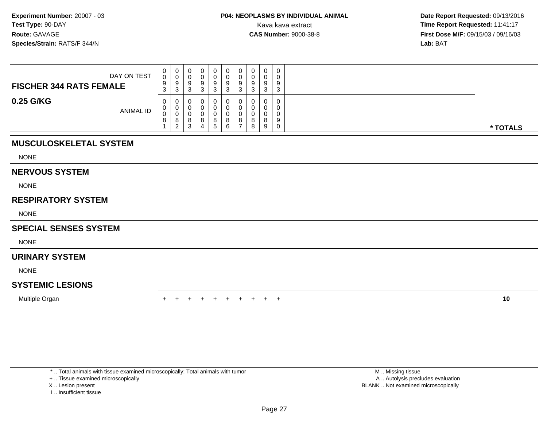| DAY ON TEST<br><b>FISCHER 344 RATS FEMALE</b> | 0<br>0<br>9<br>ົ<br>J. | U<br>ັ<br>ບ |   | 0<br>9       | 0<br>0<br>9<br>⌒<br>ັ | J      | 0<br>9<br>◠  | 0<br>0<br>9<br>-3     |          |
|-----------------------------------------------|------------------------|-------------|---|--------------|-----------------------|--------|--------------|-----------------------|----------|
| 0.25 G/KG<br>ANIMAL ID                        | 0<br>0<br>0<br>8       | o<br>د      | Ω | $\circ$<br>G | 0<br>0<br>U<br>8<br>6 | О<br>8 | $\circ$<br>9 | 0<br>0<br>0<br>9<br>0 | * TOTALS |

# **MUSCULOSKELETAL SYSTEM**

NONE

#### **NERVOUS SYSTEM**

NONE

# **RESPIRATORY SYSTEM**

NONE

### **SPECIAL SENSES SYSTEM**

NONE

# **URINARY SYSTEM**

NONE

# **SYSTEMIC LESIONS**

Multiple Organn  $+$ 

<sup>+</sup> <sup>+</sup> <sup>+</sup> <sup>+</sup> <sup>+</sup> <sup>+</sup> <sup>+</sup> <sup>+</sup> <sup>+</sup> **<sup>10</sup>**

\* .. Total animals with tissue examined microscopically; Total animals with tumor

+ .. Tissue examined microscopically

- X .. Lesion present
- I .. Insufficient tissue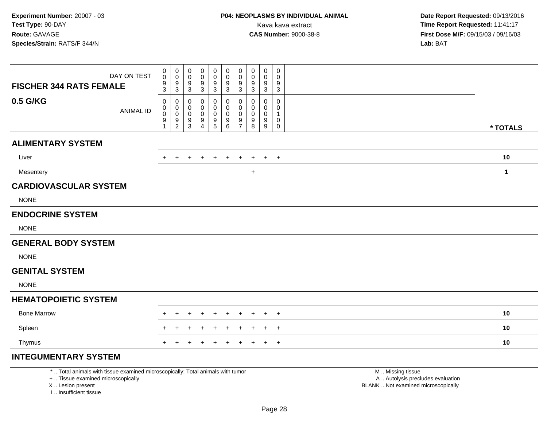| DAY ON TEST<br><b>FISCHER 344 RATS FEMALE</b> | 0<br>$\pmb{0}$<br>9<br>3                                        | $\mathbf 0$<br>$\mathbf 0$<br>$\boldsymbol{9}$<br>$\sqrt{3}$        | 0<br>0<br>9                    | 0<br>0                             | 0<br>0                               | 0<br>0                                         | 0                                                                     | $\mathbf 0$           | $\mathbf 0$                                              | $\mathbf 0$                                               |              |
|-----------------------------------------------|-----------------------------------------------------------------|---------------------------------------------------------------------|--------------------------------|------------------------------------|--------------------------------------|------------------------------------------------|-----------------------------------------------------------------------|-----------------------|----------------------------------------------------------|-----------------------------------------------------------|--------------|
|                                               |                                                                 |                                                                     | $\mathbf{3}$                   | 9<br>$\mathbf{3}$                  | 9<br>$\mathbf{3}$                    | $\frac{9}{3}$                                  | $\mathbf 0$<br>$9\,$<br>$\sqrt{3}$                                    | 0<br>9<br>$\mathbf 3$ | 0<br>$9\,$<br>$\mathbf{3}$                               | 0<br>9<br>$\mathbf{3}$                                    |              |
| 0.5 G/KG<br><b>ANIMAL ID</b>                  | 0<br>$\pmb{0}$<br>$\pmb{0}$<br>$\boldsymbol{9}$<br>$\mathbf{1}$ | $\mathbf 0$<br>0<br>$\pmb{0}$<br>$\boldsymbol{9}$<br>$\overline{2}$ | 0<br>0<br>0<br>9<br>$\sqrt{3}$ | 0<br>0<br>0<br>9<br>$\overline{4}$ | 0<br>0<br>$\pmb{0}$<br>$\frac{9}{5}$ | 0<br>0<br>$\mathsf{O}\xspace$<br>$\frac{9}{6}$ | 0<br>$\mathbf 0$<br>$\mathbf 0$<br>$\boldsymbol{9}$<br>$\overline{7}$ | 0<br>0<br>0<br>9<br>8 | 0<br>$\mathbf 0$<br>$\mathbf 0$<br>$\boldsymbol{9}$<br>9 | 0<br>0<br>$\mathbf{1}$<br>$\mathbf 0$<br>$\boldsymbol{0}$ |              |
| <b>ALIMENTARY SYSTEM</b>                      |                                                                 |                                                                     |                                |                                    |                                      |                                                |                                                                       |                       |                                                          |                                                           | * TOTALS     |
|                                               |                                                                 |                                                                     |                                |                                    |                                      |                                                |                                                                       |                       |                                                          |                                                           |              |
| Liver                                         | $\div$                                                          | $\div$                                                              |                                |                                    | $\ddot{}$                            | $\pm$                                          |                                                                       |                       | $\pm$                                                    | $+$                                                       | 10           |
| Mesentery                                     |                                                                 |                                                                     |                                |                                    |                                      |                                                |                                                                       | $+$                   |                                                          |                                                           | $\mathbf{1}$ |
| <b>CARDIOVASCULAR SYSTEM</b>                  |                                                                 |                                                                     |                                |                                    |                                      |                                                |                                                                       |                       |                                                          |                                                           |              |
| <b>NONE</b>                                   |                                                                 |                                                                     |                                |                                    |                                      |                                                |                                                                       |                       |                                                          |                                                           |              |
| <b>ENDOCRINE SYSTEM</b>                       |                                                                 |                                                                     |                                |                                    |                                      |                                                |                                                                       |                       |                                                          |                                                           |              |
| <b>NONE</b>                                   |                                                                 |                                                                     |                                |                                    |                                      |                                                |                                                                       |                       |                                                          |                                                           |              |
| <b>GENERAL BODY SYSTEM</b>                    |                                                                 |                                                                     |                                |                                    |                                      |                                                |                                                                       |                       |                                                          |                                                           |              |
| <b>NONE</b>                                   |                                                                 |                                                                     |                                |                                    |                                      |                                                |                                                                       |                       |                                                          |                                                           |              |
| <b>GENITAL SYSTEM</b>                         |                                                                 |                                                                     |                                |                                    |                                      |                                                |                                                                       |                       |                                                          |                                                           |              |
| <b>NONE</b>                                   |                                                                 |                                                                     |                                |                                    |                                      |                                                |                                                                       |                       |                                                          |                                                           |              |
| <b>HEMATOPOIETIC SYSTEM</b>                   |                                                                 |                                                                     |                                |                                    |                                      |                                                |                                                                       |                       |                                                          |                                                           |              |
| <b>Bone Marrow</b>                            | +                                                               |                                                                     |                                |                                    | $\overline{+}$                       | $\ddot{}$                                      | $\pm$                                                                 | $\pm$                 | $\pm$                                                    | $+$                                                       | 10           |
| Spleen                                        |                                                                 |                                                                     |                                |                                    |                                      |                                                |                                                                       |                       | $\pm$                                                    | $^{+}$                                                    | 10           |
| Thymus                                        | $+$                                                             | $\pm$                                                               | $\div$                         |                                    | $\ddot{}$                            | $\ddot{}$                                      | $\overline{+}$                                                        | $+$                   | $\ddot{}$                                                | $+$                                                       | 10           |
| <b>INTEGUMENTARY SYSTEM</b>                   |                                                                 |                                                                     |                                |                                    |                                      |                                                |                                                                       |                       |                                                          |                                                           |              |

\* .. Total animals with tissue examined microscopically; Total animals with tumor

+ .. Tissue examined microscopically

X .. Lesion present

I .. Insufficient tissue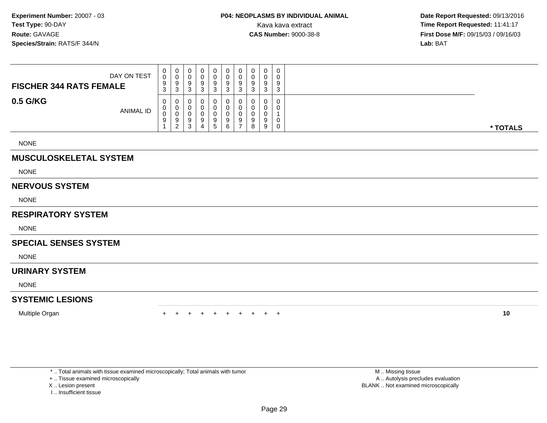| DAY ON TEST<br><b>FISCHER 344 RATS FEMALE</b> | 0<br>U<br>9<br>3 | 0<br>v<br>9<br>3                  | U<br>◡<br>У<br>ີ<br>◡ | 0<br>a<br>ີ<br>J | U<br>U<br>9<br>≏<br>J | 0<br>0<br>9<br>3 | 0<br>0<br>9<br>ົ<br>◡ | $\circ$<br>. | 0<br>0<br>9<br>3 |          |
|-----------------------------------------------|------------------|-----------------------------------|-----------------------|------------------|-----------------------|------------------|-----------------------|--------------|------------------|----------|
| 0.5 G/KG<br><b>ANIMAL ID</b>                  | 0<br>U<br>◡<br>9 | 0<br>0<br>v<br>9<br>◠<br><u>_</u> | U<br>U<br>◡<br>9<br>P | a                | U<br>υ<br>u<br>9      | 0<br>0<br>0<br>9 | 0<br>0<br>0<br>9<br>8 |              | 0<br>0<br>0<br>0 | * TOTALS |

NONE

# **MUSCULOSKELETAL SYSTEM**

NONE

#### **NERVOUS SYSTEM**

NONE

#### **RESPIRATORY SYSTEM**

NONE

# **SPECIAL SENSES SYSTEM**

NONE

#### **URINARY SYSTEM**

NONE

# **SYSTEMIC LESIONS**

Multiple Organ

n  $+$ <sup>+</sup> <sup>+</sup> <sup>+</sup> <sup>+</sup> <sup>+</sup> <sup>+</sup> <sup>+</sup> <sup>+</sup> <sup>+</sup> **<sup>10</sup>**

\* .. Total animals with tissue examined microscopically; Total animals with tumor

+ .. Tissue examined microscopically

X .. Lesion present

I .. Insufficient tissue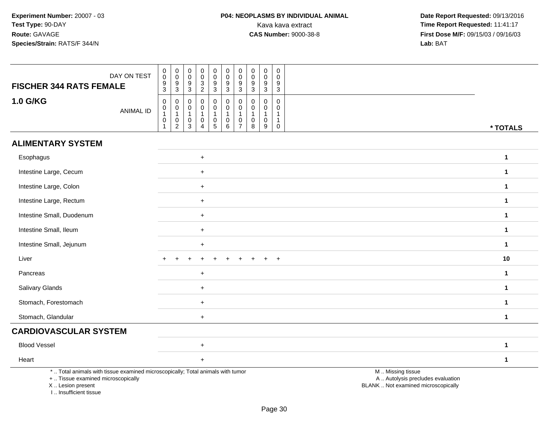| DAY ON TEST<br><b>FISCHER 344 RATS FEMALE</b>                                                                                                                       | $_{\rm 0}^{\rm 0}$<br>$\frac{9}{3}$                             | $\mathsf{O}\xspace$<br>$\overline{0}$<br>$\frac{9}{3}$  | $\mathbf 0$<br>0<br>9<br>$\mathbf{3}$                                     | $\mathbf 0$<br>$\mathbf 0$<br>$\sqrt{3}$<br>$\overline{2}$                          | $\mathbf 0$<br>$\ddot{\mathbf{0}}$<br>$\boldsymbol{9}$<br>3 | $\begin{smallmatrix}0\\0\end{smallmatrix}$<br>$\boldsymbol{9}$<br>$\mathbf{3}$ | $\mathbf 0$<br>$\overline{0}$<br>9<br>3                                     | 0<br>0<br>9<br>3                                | $\begin{smallmatrix} 0\\0 \end{smallmatrix}$<br>$\boldsymbol{9}$<br>$\sqrt{3}$ | 0<br>$\mathbf 0$<br>9<br>$\sqrt{3}$ |                                                                                               |              |
|---------------------------------------------------------------------------------------------------------------------------------------------------------------------|-----------------------------------------------------------------|---------------------------------------------------------|---------------------------------------------------------------------------|-------------------------------------------------------------------------------------|-------------------------------------------------------------|--------------------------------------------------------------------------------|-----------------------------------------------------------------------------|-------------------------------------------------|--------------------------------------------------------------------------------|-------------------------------------|-----------------------------------------------------------------------------------------------|--------------|
| <b>1.0 G/KG</b><br><b>ANIMAL ID</b>                                                                                                                                 | $\pmb{0}$<br>$\overline{0}$<br>1<br>$\mathbf 0$<br>$\mathbf{1}$ | 0<br>$\overline{0}$<br>1<br>$\pmb{0}$<br>$\overline{2}$ | $\mathbf 0$<br>$\mathbf 0$<br>$\mathbf{1}$<br>$\mathbf 0$<br>$\mathbf{3}$ | $\mathbf 0$<br>$\mathbf 0$<br>$\mathbf{1}$<br>$\mathsf{O}\xspace$<br>$\overline{4}$ | 0<br>0<br>1<br>$\pmb{0}$<br>5                               | $\pmb{0}$<br>$\pmb{0}$<br>$\overline{1}$<br>$\pmb{0}$<br>$6\phantom{1}$        | $\mathbf 0$<br>$\mathbf 0$<br>$\mathbf{1}$<br>$\mathbf 0$<br>$\overline{7}$ | $\Omega$<br>0<br>$\mathbf{1}$<br>$\pmb{0}$<br>8 | $\mathbf 0$<br>$\mathbf 0$<br>$\mathbf{1}$<br>$\pmb{0}$<br>9                   | 0<br>0<br>-1<br>-1<br>0             |                                                                                               | * TOTALS     |
| <b>ALIMENTARY SYSTEM</b>                                                                                                                                            |                                                                 |                                                         |                                                                           |                                                                                     |                                                             |                                                                                |                                                                             |                                                 |                                                                                |                                     |                                                                                               |              |
| Esophagus                                                                                                                                                           |                                                                 |                                                         |                                                                           | $\ddot{}$                                                                           |                                                             |                                                                                |                                                                             |                                                 |                                                                                |                                     |                                                                                               | $\mathbf{1}$ |
| Intestine Large, Cecum                                                                                                                                              |                                                                 |                                                         |                                                                           | $\ddot{}$                                                                           |                                                             |                                                                                |                                                                             |                                                 |                                                                                |                                     |                                                                                               | $\mathbf{1}$ |
| Intestine Large, Colon                                                                                                                                              |                                                                 |                                                         |                                                                           | +                                                                                   |                                                             |                                                                                |                                                                             |                                                 |                                                                                |                                     |                                                                                               | $\mathbf 1$  |
| Intestine Large, Rectum                                                                                                                                             |                                                                 |                                                         |                                                                           | $\ddot{}$                                                                           |                                                             |                                                                                |                                                                             |                                                 |                                                                                |                                     |                                                                                               | $\mathbf{1}$ |
| Intestine Small, Duodenum                                                                                                                                           |                                                                 |                                                         |                                                                           | $\ddot{}$                                                                           |                                                             |                                                                                |                                                                             |                                                 |                                                                                |                                     |                                                                                               | $\mathbf{1}$ |
| Intestine Small, Ileum                                                                                                                                              |                                                                 |                                                         |                                                                           | $\ddot{}$                                                                           |                                                             |                                                                                |                                                                             |                                                 |                                                                                |                                     |                                                                                               | $\mathbf{1}$ |
| Intestine Small, Jejunum                                                                                                                                            |                                                                 |                                                         |                                                                           | $\ddot{}$                                                                           |                                                             |                                                                                |                                                                             |                                                 |                                                                                |                                     |                                                                                               | $\mathbf 1$  |
| Liver                                                                                                                                                               |                                                                 |                                                         |                                                                           |                                                                                     |                                                             |                                                                                |                                                                             |                                                 |                                                                                | $\div$                              |                                                                                               | 10           |
| Pancreas                                                                                                                                                            |                                                                 |                                                         |                                                                           | $\ddot{}$                                                                           |                                                             |                                                                                |                                                                             |                                                 |                                                                                |                                     |                                                                                               | $\mathbf{1}$ |
| Salivary Glands                                                                                                                                                     |                                                                 |                                                         |                                                                           | $\ddot{}$                                                                           |                                                             |                                                                                |                                                                             |                                                 |                                                                                |                                     |                                                                                               | $\mathbf{1}$ |
| Stomach, Forestomach                                                                                                                                                |                                                                 |                                                         |                                                                           | $\ddot{}$                                                                           |                                                             |                                                                                |                                                                             |                                                 |                                                                                |                                     |                                                                                               | $\mathbf{1}$ |
| Stomach, Glandular                                                                                                                                                  |                                                                 |                                                         |                                                                           | $+$                                                                                 |                                                             |                                                                                |                                                                             |                                                 |                                                                                |                                     |                                                                                               | $\mathbf{1}$ |
| <b>CARDIOVASCULAR SYSTEM</b>                                                                                                                                        |                                                                 |                                                         |                                                                           |                                                                                     |                                                             |                                                                                |                                                                             |                                                 |                                                                                |                                     |                                                                                               |              |
| <b>Blood Vessel</b>                                                                                                                                                 |                                                                 |                                                         |                                                                           | $\ddot{}$                                                                           |                                                             |                                                                                |                                                                             |                                                 |                                                                                |                                     |                                                                                               | $\mathbf{1}$ |
| Heart                                                                                                                                                               |                                                                 |                                                         |                                                                           | $\ddot{}$                                                                           |                                                             |                                                                                |                                                                             |                                                 |                                                                                |                                     |                                                                                               | $\mathbf{1}$ |
| *  Total animals with tissue examined microscopically; Total animals with tumor<br>+  Tissue examined microscopically<br>X  Lesion present<br>I Insufficient tissue |                                                                 |                                                         |                                                                           |                                                                                     |                                                             |                                                                                |                                                                             |                                                 |                                                                                |                                     | M  Missing tissue<br>A  Autolysis precludes evaluation<br>BLANK  Not examined microscopically |              |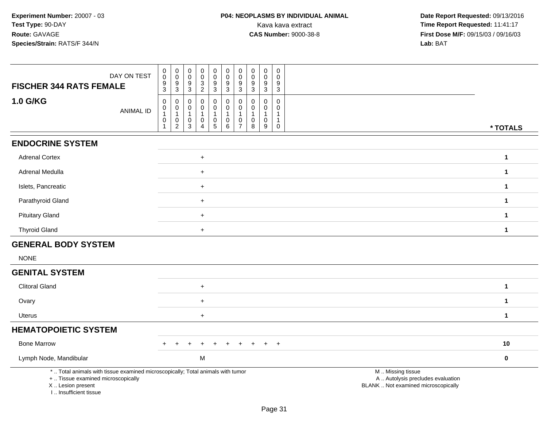| DAY ON TEST<br><b>FISCHER 344 RATS FEMALE</b>                                                                                                                       | $_{\rm 0}^{\rm 0}$<br>$\frac{9}{3}$                                                    | $\mathbf 0$<br>$\overline{0}$<br>$\boldsymbol{9}$<br>$\mathbf{3}$                        | $\mathbf 0$<br>$\boldsymbol{0}$<br>$\boldsymbol{9}$<br>$\mathbf{3}$ | $\mathbf 0$<br>$\mathbf 0$<br>$\ensuremath{\mathsf{3}}$<br>$\overline{c}$           | $\pmb{0}$<br>$\ddot{\mathbf{0}}$<br>$\boldsymbol{9}$<br>3      | $_{\rm 0}^{\rm 0}$<br>$\boldsymbol{9}$<br>$\mathbf{3}$ | $\mathbf 0$<br>$\ddot{\mathbf{0}}$<br>$\boldsymbol{9}$<br>3    | 0<br>0<br>9<br>3                        | $\pmb{0}$<br>$\overline{0}$<br>$\boldsymbol{9}$<br>$\sqrt{3}$ | 0<br>$\mathbf 0$<br>9<br>3                 |                                                                                               |  |
|---------------------------------------------------------------------------------------------------------------------------------------------------------------------|----------------------------------------------------------------------------------------|------------------------------------------------------------------------------------------|---------------------------------------------------------------------|-------------------------------------------------------------------------------------|----------------------------------------------------------------|--------------------------------------------------------|----------------------------------------------------------------|-----------------------------------------|---------------------------------------------------------------|--------------------------------------------|-----------------------------------------------------------------------------------------------|--|
| <b>1.0 G/KG</b><br><b>ANIMAL ID</b>                                                                                                                                 | $\pmb{0}$<br>$\begin{smallmatrix}0\\1\end{smallmatrix}$<br>$\mathbf 0$<br>$\mathbf{1}$ | $\mathbf 0$<br>$\begin{smallmatrix}0\\1\end{smallmatrix}$<br>$\pmb{0}$<br>$\overline{2}$ | $\mathbf 0$<br>$\pmb{0}$<br>$\overline{1}$<br>0<br>3                | $\mathbf 0$<br>$\pmb{0}$<br>$\overline{1}$<br>$\mathsf{O}\xspace$<br>$\overline{4}$ | $\mathbf 0$<br>0<br>1<br>$\begin{array}{c} 0 \\ 5 \end{array}$ | $\pmb{0}$<br>$\overline{0}$<br>1<br>$\pmb{0}$<br>6     | $\Omega$<br>$\mathbf 0$<br>$\mathbf{1}$<br>0<br>$\overline{7}$ | $\Omega$<br>0<br>$\mathbf{1}$<br>0<br>8 | $\mathbf 0$<br>$\pmb{0}$<br>$\mathbf{1}$<br>$\mathbf 0$<br>9  | $\mathbf 0$<br>0<br>1<br>-1<br>$\mathbf 0$ | * TOTALS                                                                                      |  |
| <b>ENDOCRINE SYSTEM</b>                                                                                                                                             |                                                                                        |                                                                                          |                                                                     |                                                                                     |                                                                |                                                        |                                                                |                                         |                                                               |                                            |                                                                                               |  |
| <b>Adrenal Cortex</b>                                                                                                                                               |                                                                                        |                                                                                          |                                                                     | $\pmb{+}$                                                                           |                                                                |                                                        |                                                                |                                         |                                                               |                                            | $\mathbf{1}$                                                                                  |  |
| Adrenal Medulla                                                                                                                                                     |                                                                                        |                                                                                          |                                                                     | $\ddot{}$                                                                           |                                                                |                                                        |                                                                |                                         |                                                               |                                            | $\mathbf{1}$                                                                                  |  |
| Islets, Pancreatic                                                                                                                                                  |                                                                                        |                                                                                          |                                                                     | $+$                                                                                 |                                                                |                                                        |                                                                |                                         |                                                               |                                            | $\mathbf{1}$                                                                                  |  |
| Parathyroid Gland                                                                                                                                                   |                                                                                        |                                                                                          |                                                                     | $\ddot{}$                                                                           |                                                                |                                                        |                                                                |                                         |                                                               |                                            | $\mathbf{1}$                                                                                  |  |
| <b>Pituitary Gland</b>                                                                                                                                              |                                                                                        |                                                                                          |                                                                     | $\ddot{}$                                                                           |                                                                |                                                        |                                                                |                                         |                                                               |                                            | $\mathbf{1}$                                                                                  |  |
| <b>Thyroid Gland</b>                                                                                                                                                |                                                                                        |                                                                                          |                                                                     | $+$                                                                                 |                                                                |                                                        |                                                                |                                         |                                                               |                                            | $\mathbf{1}$                                                                                  |  |
| <b>GENERAL BODY SYSTEM</b>                                                                                                                                          |                                                                                        |                                                                                          |                                                                     |                                                                                     |                                                                |                                                        |                                                                |                                         |                                                               |                                            |                                                                                               |  |
| <b>NONE</b>                                                                                                                                                         |                                                                                        |                                                                                          |                                                                     |                                                                                     |                                                                |                                                        |                                                                |                                         |                                                               |                                            |                                                                                               |  |
| <b>GENITAL SYSTEM</b>                                                                                                                                               |                                                                                        |                                                                                          |                                                                     |                                                                                     |                                                                |                                                        |                                                                |                                         |                                                               |                                            |                                                                                               |  |
| <b>Clitoral Gland</b>                                                                                                                                               |                                                                                        |                                                                                          |                                                                     | $\ddot{}$                                                                           |                                                                |                                                        |                                                                |                                         |                                                               |                                            | $\mathbf{1}$                                                                                  |  |
| Ovary                                                                                                                                                               |                                                                                        |                                                                                          |                                                                     | $\ddot{}$                                                                           |                                                                |                                                        |                                                                |                                         |                                                               |                                            | $\mathbf{1}$                                                                                  |  |
| <b>Uterus</b>                                                                                                                                                       |                                                                                        |                                                                                          |                                                                     | $\ddot{}$                                                                           |                                                                |                                                        |                                                                |                                         |                                                               |                                            | $\mathbf{1}$                                                                                  |  |
| <b>HEMATOPOIETIC SYSTEM</b>                                                                                                                                         |                                                                                        |                                                                                          |                                                                     |                                                                                     |                                                                |                                                        |                                                                |                                         |                                                               |                                            |                                                                                               |  |
| <b>Bone Marrow</b>                                                                                                                                                  |                                                                                        |                                                                                          |                                                                     |                                                                                     |                                                                |                                                        |                                                                |                                         |                                                               | $\div$                                     | 10                                                                                            |  |
| Lymph Node, Mandibular                                                                                                                                              |                                                                                        |                                                                                          |                                                                     | M                                                                                   |                                                                |                                                        |                                                                |                                         |                                                               |                                            | $\mathbf 0$                                                                                   |  |
| *  Total animals with tissue examined microscopically; Total animals with tumor<br>+  Tissue examined microscopically<br>X  Lesion present<br>I Insufficient tissue |                                                                                        |                                                                                          |                                                                     |                                                                                     |                                                                |                                                        |                                                                |                                         |                                                               |                                            | M  Missing tissue<br>A  Autolysis precludes evaluation<br>BLANK  Not examined microscopically |  |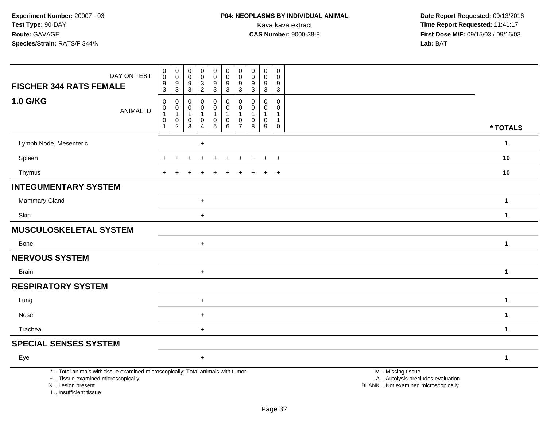| DAY ON TEST<br><b>FISCHER 344 RATS FEMALE</b>                                                                                                                       | $\begin{smallmatrix} 0\\0 \end{smallmatrix}$<br>$\frac{9}{3}$ | 0<br>$\mathsf 0$<br>9<br>$\overline{3}$       | $\pmb{0}$<br>$\mathbf 0$<br>9<br>$\ensuremath{\mathsf{3}}$ | 0<br>$\pmb{0}$<br>$\frac{3}{2}$                         | $\begin{smallmatrix} 0\\0 \end{smallmatrix}$<br>$\frac{9}{3}$                     | $\pmb{0}$<br>$\mathsf 0$<br>9<br>$\overline{3}$                    | $\boldsymbol{0}$<br>$\boldsymbol{0}$<br>9<br>$\overline{3}$ | $\pmb{0}$<br>$\pmb{0}$<br>9<br>$\overline{3}$                          | 0<br>$\pmb{0}$<br>9<br>$\overline{3}$ | $\mathbf 0$<br>$\Omega$<br>$\boldsymbol{9}$<br>$\overline{3}$ |                                                                                               |              |
|---------------------------------------------------------------------------------------------------------------------------------------------------------------------|---------------------------------------------------------------|-----------------------------------------------|------------------------------------------------------------|---------------------------------------------------------|-----------------------------------------------------------------------------------|--------------------------------------------------------------------|-------------------------------------------------------------|------------------------------------------------------------------------|---------------------------------------|---------------------------------------------------------------|-----------------------------------------------------------------------------------------------|--------------|
| 1.0 G/KG<br><b>ANIMAL ID</b>                                                                                                                                        | $\pmb{0}$<br>0<br>$\mathbf 1$<br>0<br>$\mathbf{1}$            | 0<br>0<br>$\mathbf{1}$<br>0<br>$\overline{2}$ | $\Omega$<br>0<br>$\mathbf{1}$<br>0<br>$\overline{3}$       | 0<br>0<br>$\mathbf{1}$<br>$\mathbf 0$<br>$\overline{4}$ | $\pmb{0}$<br>$\mathbf 0$<br>$\mathbf{1}$<br>$\begin{array}{c} 0 \\ 5 \end{array}$ | $\mathbf 0$<br>$\mathbf 0$<br>$\overline{1}$<br>$_{\rm 6}^{\rm 0}$ | 0<br>0<br>0<br>$\overline{7}$                               | $\Omega$<br>$\mathbf 0$<br>$\mathbf{1}$<br>$\pmb{0}$<br>$\overline{8}$ | 0<br>0<br>1<br>$\mathbf 0$<br>9       | $\Omega$<br>$\mathbf{0}$<br>-1<br>$\mathbf{1}$<br>$\mathbf 0$ |                                                                                               | * TOTALS     |
| Lymph Node, Mesenteric                                                                                                                                              |                                                               |                                               |                                                            | $\ddot{}$                                               |                                                                                   |                                                                    |                                                             |                                                                        |                                       |                                                               |                                                                                               | $\mathbf{1}$ |
| Spleen                                                                                                                                                              |                                                               |                                               |                                                            |                                                         |                                                                                   |                                                                    |                                                             |                                                                        |                                       | $\ddot{}$                                                     |                                                                                               | 10           |
| Thymus                                                                                                                                                              |                                                               |                                               |                                                            |                                                         |                                                                                   |                                                                    |                                                             |                                                                        | $\div$                                | $+$                                                           |                                                                                               | 10           |
| <b>INTEGUMENTARY SYSTEM</b>                                                                                                                                         |                                                               |                                               |                                                            |                                                         |                                                                                   |                                                                    |                                                             |                                                                        |                                       |                                                               |                                                                                               |              |
| Mammary Gland                                                                                                                                                       |                                                               |                                               |                                                            | $\ddot{}$                                               |                                                                                   |                                                                    |                                                             |                                                                        |                                       |                                                               |                                                                                               | $\mathbf{1}$ |
| Skin                                                                                                                                                                |                                                               |                                               |                                                            | $\ddot{}$                                               |                                                                                   |                                                                    |                                                             |                                                                        |                                       |                                                               |                                                                                               | $\mathbf{1}$ |
| MUSCULOSKELETAL SYSTEM                                                                                                                                              |                                                               |                                               |                                                            |                                                         |                                                                                   |                                                                    |                                                             |                                                                        |                                       |                                                               |                                                                                               |              |
| <b>Bone</b>                                                                                                                                                         |                                                               |                                               |                                                            | $\ddot{}$                                               |                                                                                   |                                                                    |                                                             |                                                                        |                                       |                                                               |                                                                                               | $\mathbf{1}$ |
| <b>NERVOUS SYSTEM</b>                                                                                                                                               |                                                               |                                               |                                                            |                                                         |                                                                                   |                                                                    |                                                             |                                                                        |                                       |                                                               |                                                                                               |              |
| <b>Brain</b>                                                                                                                                                        |                                                               |                                               |                                                            | $\ddot{}$                                               |                                                                                   |                                                                    |                                                             |                                                                        |                                       |                                                               |                                                                                               | $\mathbf{1}$ |
| <b>RESPIRATORY SYSTEM</b>                                                                                                                                           |                                                               |                                               |                                                            |                                                         |                                                                                   |                                                                    |                                                             |                                                                        |                                       |                                                               |                                                                                               |              |
| Lung                                                                                                                                                                |                                                               |                                               |                                                            | $\ddot{}$                                               |                                                                                   |                                                                    |                                                             |                                                                        |                                       |                                                               |                                                                                               | $\mathbf{1}$ |
| Nose                                                                                                                                                                |                                                               |                                               |                                                            | $+$                                                     |                                                                                   |                                                                    |                                                             |                                                                        |                                       |                                                               |                                                                                               | $\mathbf{1}$ |
| Trachea                                                                                                                                                             |                                                               |                                               |                                                            | $\ddot{}$                                               |                                                                                   |                                                                    |                                                             |                                                                        |                                       |                                                               |                                                                                               | $\mathbf{1}$ |
| <b>SPECIAL SENSES SYSTEM</b>                                                                                                                                        |                                                               |                                               |                                                            |                                                         |                                                                                   |                                                                    |                                                             |                                                                        |                                       |                                                               |                                                                                               |              |
| Eye                                                                                                                                                                 |                                                               |                                               |                                                            | $\ddot{}$                                               |                                                                                   |                                                                    |                                                             |                                                                        |                                       |                                                               |                                                                                               | $\mathbf{1}$ |
| *  Total animals with tissue examined microscopically; Total animals with tumor<br>+  Tissue examined microscopically<br>X  Lesion present<br>I Insufficient tissue |                                                               |                                               |                                                            |                                                         |                                                                                   |                                                                    |                                                             |                                                                        |                                       |                                                               | M  Missing tissue<br>A  Autolysis precludes evaluation<br>BLANK  Not examined microscopically |              |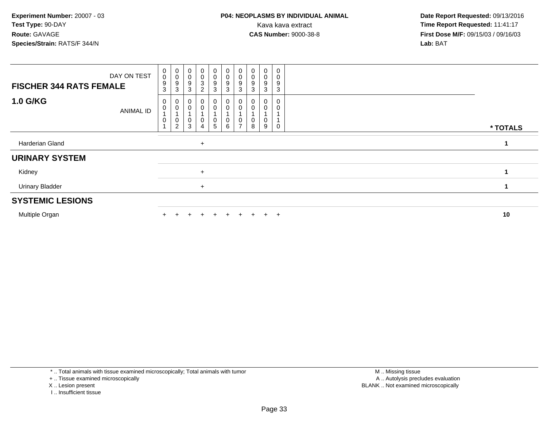| <b>FISCHER 344 RATS FEMALE</b> | DAY ON TEST      | $_{\rm 0}^{\rm 0}$<br>9<br>3 | $_{\rm 0}^{\rm 0}$<br>9<br>3          | $\pmb{0}$<br>$\mathbf 0$<br>9<br>3 | $\mathbf 0$<br>0<br>3<br>$\overline{c}$ | $_{\rm 0}^{\rm 0}$<br>$\frac{9}{3}$                          | $\begin{smallmatrix} 0\\0 \end{smallmatrix}$<br>$\boldsymbol{9}$<br>$\sqrt{3}$ | $\begin{smallmatrix} 0\\0 \end{smallmatrix}$<br>9<br>$\sqrt{3}$ | $_{\rm 0}^{\rm 0}$<br>9<br>3 | 0<br>0<br>9<br>3 | $\mathbf 0$<br>9<br>3 |  |          |
|--------------------------------|------------------|------------------------------|---------------------------------------|------------------------------------|-----------------------------------------|--------------------------------------------------------------|--------------------------------------------------------------------------------|-----------------------------------------------------------------|------------------------------|------------------|-----------------------|--|----------|
| <b>1.0 G/KG</b>                | <b>ANIMAL ID</b> | 0<br>0<br>0                  | 0<br>0<br>$\pmb{0}$<br>$\overline{c}$ | 3                                  | 0<br>0<br>0<br>4                        | $\overline{0}$<br>0<br>$\begin{array}{c} 0 \\ 5 \end{array}$ | 0<br>$\pmb{0}$<br>0<br>$\,6\,$                                                 | 0<br>$\pmb{0}$<br>$\frac{0}{7}$                                 | 0<br>0<br>$_{8}^{\rm 0}$     | 0<br>0<br>9      | 0                     |  | * TOTALS |
| Harderian Gland                |                  |                              |                                       |                                    | $\ddot{}$                               |                                                              |                                                                                |                                                                 |                              |                  |                       |  | 1        |
| <b>URINARY SYSTEM</b>          |                  |                              |                                       |                                    |                                         |                                                              |                                                                                |                                                                 |                              |                  |                       |  |          |
| Kidney                         |                  |                              |                                       |                                    | $\ddot{}$                               |                                                              |                                                                                |                                                                 |                              |                  |                       |  |          |
| <b>Urinary Bladder</b>         |                  |                              |                                       |                                    | $\ddot{}$                               |                                                              |                                                                                |                                                                 |                              |                  |                       |  | 1        |
| <b>SYSTEMIC LESIONS</b>        |                  |                              |                                       |                                    |                                         |                                                              |                                                                                |                                                                 |                              |                  |                       |  |          |
| Multiple Organ                 |                  |                              |                                       |                                    |                                         | ÷.                                                           |                                                                                |                                                                 |                              | $\pm$            | $+$                   |  | 10       |

\* .. Total animals with tissue examined microscopically; Total animals with tumor

- + .. Tissue examined microscopically
- X .. Lesion present
- I .. Insufficient tissue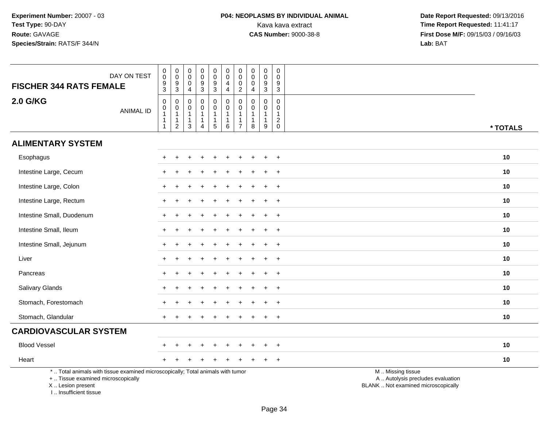| DAY ON TEST<br><b>FISCHER 344 RATS FEMALE</b>                                                                                                                       | $\pmb{0}$<br>$\overline{0}$<br>$^9_3$                | $\pmb{0}$<br>$\overline{0}$<br>$\frac{9}{3}$                                    | 0<br>$\pmb{0}$<br>0<br>4                              | $\pmb{0}$<br>$\ddot{\mathbf{0}}$<br>9<br>$\overline{3}$         | $\pmb{0}$<br>$\overline{0}$<br>$\frac{9}{3}$                                | $\mathbf 0$<br>$\ddot{\mathbf{0}}$<br>$\overline{4}$<br>$\overline{4}$ | $\mathbf 0$<br>$\overline{0}$<br>$\mathbf 0$<br>$\overline{2}$                    | $\mathbf 0$<br>$\pmb{0}$<br>0<br>4                              | $\mathbf 0$<br>$\pmb{0}$<br>9<br>$\mathbf{3}$                 | $\mathbf 0$<br>$\mathbf 0$<br>9<br>$\mathbf{3}$                            |                                                                                               |
|---------------------------------------------------------------------------------------------------------------------------------------------------------------------|------------------------------------------------------|---------------------------------------------------------------------------------|-------------------------------------------------------|-----------------------------------------------------------------|-----------------------------------------------------------------------------|------------------------------------------------------------------------|-----------------------------------------------------------------------------------|-----------------------------------------------------------------|---------------------------------------------------------------|----------------------------------------------------------------------------|-----------------------------------------------------------------------------------------------|
| <b>2.0 G/KG</b><br><b>ANIMAL ID</b>                                                                                                                                 | $\mathbf 0$<br>$\pmb{0}$<br>$\overline{1}$<br>1<br>1 | $\boldsymbol{0}$<br>$\begin{smallmatrix}0\\1\end{smallmatrix}$<br>$\frac{1}{2}$ | $\mathbf 0$<br>0<br>$\mathbf{1}$<br>$\mathbf{1}$<br>3 | $\mathbf 0$<br>$\mathbf 0$<br>$\mathbf{1}$<br>$\mathbf{1}$<br>4 | $\mathsf 0$<br>$\pmb{0}$<br>$\mathbf{1}$<br>$\mathbf{1}$<br>$5\phantom{.0}$ | $\mathbf 0$<br>$\mathbf 0$<br>$\overline{1}$<br>$\mathbf 1$<br>6       | $\boldsymbol{0}$<br>$\pmb{0}$<br>$\mathbf{1}$<br>$\overline{1}$<br>$\overline{7}$ | $\mathbf 0$<br>$\mathbf 0$<br>$\mathbf{1}$<br>$\mathbf{1}$<br>8 | $\pmb{0}$<br>$\mathbf 0$<br>$\mathbf{1}$<br>$\mathbf{1}$<br>9 | $\mathbf 0$<br>0<br>$\mathbf{1}$<br>$\overline{\mathbf{c}}$<br>$\mathbf 0$ | * TOTALS                                                                                      |
| <b>ALIMENTARY SYSTEM</b>                                                                                                                                            |                                                      |                                                                                 |                                                       |                                                                 |                                                                             |                                                                        |                                                                                   |                                                                 |                                                               |                                                                            |                                                                                               |
| Esophagus                                                                                                                                                           |                                                      |                                                                                 |                                                       |                                                                 |                                                                             |                                                                        |                                                                                   |                                                                 |                                                               | $\ddot{}$                                                                  | 10                                                                                            |
| Intestine Large, Cecum                                                                                                                                              |                                                      |                                                                                 |                                                       |                                                                 |                                                                             |                                                                        |                                                                                   |                                                                 |                                                               |                                                                            | 10                                                                                            |
| Intestine Large, Colon                                                                                                                                              |                                                      |                                                                                 |                                                       |                                                                 |                                                                             |                                                                        |                                                                                   |                                                                 |                                                               | $\pm$                                                                      | 10                                                                                            |
| Intestine Large, Rectum                                                                                                                                             | $+$                                                  |                                                                                 |                                                       |                                                                 |                                                                             |                                                                        |                                                                                   |                                                                 |                                                               | $\overline{+}$                                                             | 10                                                                                            |
| Intestine Small, Duodenum                                                                                                                                           |                                                      |                                                                                 |                                                       |                                                                 |                                                                             |                                                                        |                                                                                   |                                                                 |                                                               | $\ddot{}$                                                                  | 10                                                                                            |
| Intestine Small, Ileum                                                                                                                                              |                                                      |                                                                                 |                                                       |                                                                 |                                                                             |                                                                        |                                                                                   |                                                                 |                                                               | $\ddot{}$                                                                  | 10                                                                                            |
| Intestine Small, Jejunum                                                                                                                                            |                                                      |                                                                                 |                                                       |                                                                 |                                                                             |                                                                        |                                                                                   |                                                                 |                                                               | $\ddot{}$                                                                  | 10                                                                                            |
| Liver                                                                                                                                                               |                                                      |                                                                                 |                                                       |                                                                 |                                                                             |                                                                        |                                                                                   |                                                                 |                                                               | $\ddot{}$                                                                  | 10                                                                                            |
| Pancreas                                                                                                                                                            |                                                      |                                                                                 |                                                       |                                                                 |                                                                             |                                                                        |                                                                                   |                                                                 |                                                               | $\ddot{}$                                                                  | 10                                                                                            |
| Salivary Glands                                                                                                                                                     | $\pm$                                                |                                                                                 |                                                       |                                                                 |                                                                             |                                                                        |                                                                                   |                                                                 |                                                               | $\overline{+}$                                                             | 10                                                                                            |
| Stomach, Forestomach                                                                                                                                                |                                                      |                                                                                 |                                                       |                                                                 |                                                                             |                                                                        |                                                                                   |                                                                 |                                                               | $\ddot{}$                                                                  | 10                                                                                            |
| Stomach, Glandular                                                                                                                                                  |                                                      |                                                                                 |                                                       |                                                                 |                                                                             |                                                                        |                                                                                   |                                                                 |                                                               | $\ddot{}$                                                                  | 10                                                                                            |
| <b>CARDIOVASCULAR SYSTEM</b>                                                                                                                                        |                                                      |                                                                                 |                                                       |                                                                 |                                                                             |                                                                        |                                                                                   |                                                                 |                                                               |                                                                            |                                                                                               |
| <b>Blood Vessel</b>                                                                                                                                                 |                                                      |                                                                                 |                                                       |                                                                 |                                                                             |                                                                        |                                                                                   |                                                                 |                                                               | $\overline{ }$                                                             | 10                                                                                            |
| Heart                                                                                                                                                               |                                                      |                                                                                 |                                                       |                                                                 |                                                                             |                                                                        |                                                                                   |                                                                 |                                                               | $\ddot{}$                                                                  | 10                                                                                            |
| *  Total animals with tissue examined microscopically; Total animals with tumor<br>+  Tissue examined microscopically<br>X  Lesion present<br>I Insufficient tissue |                                                      |                                                                                 |                                                       |                                                                 |                                                                             |                                                                        |                                                                                   |                                                                 |                                                               |                                                                            | M  Missing tissue<br>A  Autolysis precludes evaluation<br>BLANK  Not examined microscopically |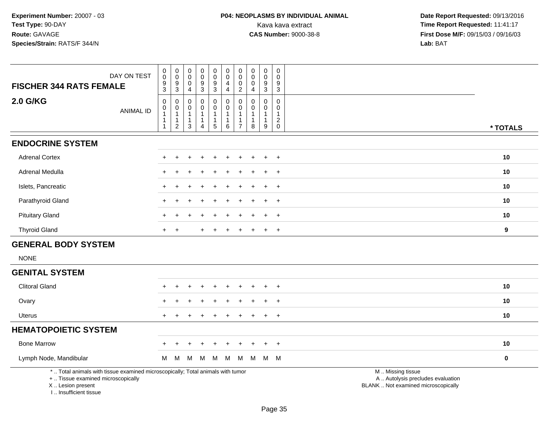| <b>FISCHER 344 RATS FEMALE</b>                                                                                        | DAY ON TEST      | $\pmb{0}$<br>$\mathsf{O}\xspace$<br>9                             | $\mathbf 0$<br>$\pmb{0}$                                               | $\pmb{0}$<br>$\boldsymbol{0}$<br>$\overline{0}$                 | $\pmb{0}$<br>$\mathbf 0$<br>9                                                | $\mathbf 0$<br>$_{9}^{\rm 0}$              | $\pmb{0}$<br>$\mathsf{O}\xspace$<br>4                       | $\mathbf 0$<br>$\pmb{0}$<br>$\mathbf 0$                         | 0<br>0<br>$\mathbf 0$     | $\pmb{0}$<br>$\pmb{0}$<br>9                                     | $\mathbf 0$<br>$\mathbf 0$<br>9                                |                                                        |           |
|-----------------------------------------------------------------------------------------------------------------------|------------------|-------------------------------------------------------------------|------------------------------------------------------------------------|-----------------------------------------------------------------|------------------------------------------------------------------------------|--------------------------------------------|-------------------------------------------------------------|-----------------------------------------------------------------|---------------------------|-----------------------------------------------------------------|----------------------------------------------------------------|--------------------------------------------------------|-----------|
|                                                                                                                       |                  | $\overline{3}$                                                    | $\frac{9}{3}$                                                          | $\overline{a}$                                                  | $\ensuremath{\mathsf{3}}$                                                    | $\overline{3}$                             | $\overline{\mathbf{4}}$                                     | $\overline{2}$                                                  | $\overline{4}$            | $\sqrt{3}$                                                      | 3                                                              |                                                        |           |
| <b>2.0 G/KG</b>                                                                                                       | <b>ANIMAL ID</b> | $\mathsf{O}\xspace$<br>$\mathbf 0$<br>$\mathbf{1}$<br>$\mathbf 1$ | 0<br>$\mathbf 0$<br>$\overline{1}$<br>$\overline{1}$<br>$\overline{2}$ | $\mathbf 0$<br>$\mathbf 0$<br>$\mathbf{1}$<br>$\mathbf{1}$<br>3 | $\mathbf 0$<br>$\mathbf 0$<br>$\mathbf{1}$<br>$\mathbf{1}$<br>$\overline{4}$ | 0<br>$\mathsf{O}$<br>1<br>$\mathbf 1$<br>5 | $\mathbf 0$<br>$\mathbf 0$<br>-1<br>$\mathbf{1}$<br>$\,6\,$ | $\mathbf 0$<br>$\mathbf{0}$<br>$\overline{1}$<br>$\overline{7}$ | $\Omega$<br>$\Omega$<br>8 | $\mathbf 0$<br>$\mathbf 0$<br>$\mathbf{1}$<br>$\mathbf{1}$<br>9 | $\mathbf 0$<br>$\mathbf{0}$<br>$\boldsymbol{2}$<br>$\mathsf 0$ |                                                        | * TOTALS  |
| <b>ENDOCRINE SYSTEM</b>                                                                                               |                  |                                                                   |                                                                        |                                                                 |                                                                              |                                            |                                                             |                                                                 |                           |                                                                 |                                                                |                                                        |           |
| <b>Adrenal Cortex</b>                                                                                                 |                  |                                                                   |                                                                        |                                                                 |                                                                              |                                            |                                                             |                                                                 |                           |                                                                 | $+$                                                            |                                                        | 10        |
| Adrenal Medulla                                                                                                       |                  |                                                                   |                                                                        |                                                                 |                                                                              |                                            |                                                             |                                                                 |                           |                                                                 | $\ddot{}$                                                      |                                                        | 10        |
| Islets, Pancreatic                                                                                                    |                  |                                                                   |                                                                        |                                                                 |                                                                              |                                            |                                                             |                                                                 |                           |                                                                 | $+$                                                            |                                                        | 10        |
| Parathyroid Gland                                                                                                     |                  |                                                                   |                                                                        |                                                                 |                                                                              |                                            |                                                             |                                                                 |                           |                                                                 | $\overline{ }$                                                 |                                                        | 10        |
| <b>Pituitary Gland</b>                                                                                                |                  |                                                                   |                                                                        |                                                                 |                                                                              |                                            |                                                             |                                                                 |                           |                                                                 | $\overline{1}$                                                 |                                                        | 10        |
| <b>Thyroid Gland</b>                                                                                                  |                  | $+$                                                               | $\overline{+}$                                                         |                                                                 |                                                                              |                                            |                                                             |                                                                 |                           | $\div$                                                          | $+$                                                            |                                                        | 9         |
| <b>GENERAL BODY SYSTEM</b>                                                                                            |                  |                                                                   |                                                                        |                                                                 |                                                                              |                                            |                                                             |                                                                 |                           |                                                                 |                                                                |                                                        |           |
| <b>NONE</b>                                                                                                           |                  |                                                                   |                                                                        |                                                                 |                                                                              |                                            |                                                             |                                                                 |                           |                                                                 |                                                                |                                                        |           |
| <b>GENITAL SYSTEM</b>                                                                                                 |                  |                                                                   |                                                                        |                                                                 |                                                                              |                                            |                                                             |                                                                 |                           |                                                                 |                                                                |                                                        |           |
| <b>Clitoral Gland</b>                                                                                                 |                  |                                                                   |                                                                        |                                                                 |                                                                              |                                            |                                                             |                                                                 |                           |                                                                 | $\ddot{}$                                                      |                                                        | 10        |
| Ovary                                                                                                                 |                  |                                                                   |                                                                        |                                                                 |                                                                              |                                            |                                                             |                                                                 |                           |                                                                 | $\overline{1}$                                                 |                                                        | 10        |
| <b>Uterus</b>                                                                                                         |                  |                                                                   |                                                                        |                                                                 |                                                                              |                                            |                                                             |                                                                 |                           |                                                                 | $+$                                                            |                                                        | 10        |
| <b>HEMATOPOIETIC SYSTEM</b>                                                                                           |                  |                                                                   |                                                                        |                                                                 |                                                                              |                                            |                                                             |                                                                 |                           |                                                                 |                                                                |                                                        |           |
| <b>Bone Marrow</b>                                                                                                    |                  |                                                                   |                                                                        |                                                                 |                                                                              |                                            |                                                             |                                                                 |                           |                                                                 | $+$                                                            |                                                        | 10        |
| Lymph Node, Mandibular                                                                                                |                  | М                                                                 | M                                                                      | M                                                               | M                                                                            | M                                          | M                                                           | M                                                               | M                         | M M                                                             |                                                                |                                                        | $\pmb{0}$ |
| *  Total animals with tissue examined microscopically; Total animals with tumor<br>+  Tissue examined microscopically |                  |                                                                   |                                                                        |                                                                 |                                                                              |                                            |                                                             |                                                                 |                           |                                                                 |                                                                | M  Missing tissue<br>A  Autolysis precludes evaluation |           |

 Lesion present BLANK .. Not examined microscopicallyX .. Lesion present

I .. Insufficient tissue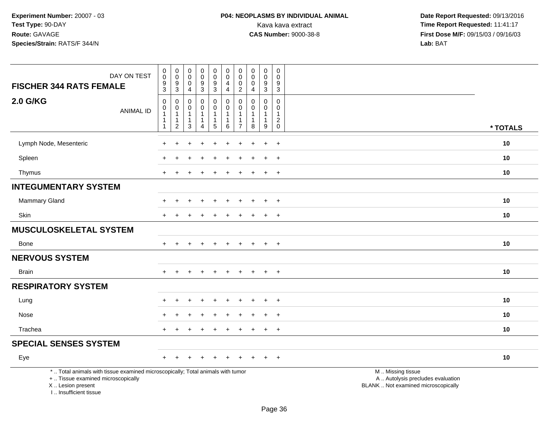| DAY ON TEST<br><b>FISCHER 344 RATS FEMALE</b>                                                                                                                        | $\begin{smallmatrix} 0\\0 \end{smallmatrix}$<br>$\frac{9}{3}$                   | $\begin{smallmatrix} 0\\0 \end{smallmatrix}$<br>$\frac{9}{3}$ | $\pmb{0}$<br>$\overline{0}$<br>$\mathbf 0$<br>$\overline{4}$   | $\begin{smallmatrix}0\0\0\end{smallmatrix}$<br>$\frac{9}{3}$ | $_{\rm 0}^{\rm 0}$<br>$\frac{9}{3}$                                        | $\mathsf{O}\xspace$<br>$\ddot{\mathbf{0}}$<br>4<br>$\overline{4}$ | $\boldsymbol{0}$<br>$\mathbf 0$<br>0<br>$\boldsymbol{2}$ | $\pmb{0}$<br>$\pmb{0}$<br>$\mathbf 0$<br>$\overline{4}$                   | $\mathbf 0$<br>$\overline{0}$<br>$\boldsymbol{9}$<br>$\overline{3}$ | $\mathbf 0$<br>$\mathbf 0$<br>$\boldsymbol{9}$<br>$\overline{3}$ |                                                                                               |          |
|----------------------------------------------------------------------------------------------------------------------------------------------------------------------|---------------------------------------------------------------------------------|---------------------------------------------------------------|----------------------------------------------------------------|--------------------------------------------------------------|----------------------------------------------------------------------------|-------------------------------------------------------------------|----------------------------------------------------------|---------------------------------------------------------------------------|---------------------------------------------------------------------|------------------------------------------------------------------|-----------------------------------------------------------------------------------------------|----------|
| <b>2.0 G/KG</b><br><b>ANIMAL ID</b>                                                                                                                                  | $\mathbf 0$<br>$\boldsymbol{0}$<br>$\mathbf 1$<br>$\mathbf 1$<br>$\overline{1}$ | 0<br>0<br>$\mathbf{1}$<br>$\mathbf{1}$<br>$\overline{2}$      | $\mathbf 0$<br>$\Omega$<br>$\mathbf{1}$<br>1<br>$\overline{3}$ | 0<br>0<br>$\mathbf{1}$<br>$\mathbf{1}$<br>$\overline{4}$     | $\pmb{0}$<br>$\mathbf 0$<br>$\mathbf{1}$<br>$\mathbf{1}$<br>$\overline{5}$ | $\pmb{0}$<br>$\pmb{0}$<br>$\mathbf{1}$<br>$\mathbf{1}$<br>$\,6\,$ | $\mathbf 0$<br>$\Omega$<br>-1<br>$\overline{7}$          | $\mathbf 0$<br>$\Omega$<br>$\mathbf{1}$<br>$\mathbf{1}$<br>$\overline{8}$ | 0<br>$\mathbf 0$<br>$\mathbf{1}$<br>$\mathbf{1}$<br>9               | $\mathsf 0$<br>$\Omega$<br>$\overline{1}$<br>$^2_{\rm 0}$        |                                                                                               | * TOTALS |
| Lymph Node, Mesenteric                                                                                                                                               |                                                                                 |                                                               |                                                                |                                                              |                                                                            |                                                                   |                                                          |                                                                           |                                                                     | $\ddot{}$                                                        |                                                                                               | 10       |
| Spleen                                                                                                                                                               |                                                                                 |                                                               |                                                                |                                                              |                                                                            |                                                                   |                                                          |                                                                           |                                                                     | $\div$                                                           |                                                                                               | 10       |
| Thymus                                                                                                                                                               | $\ddot{}$                                                                       | $\div$                                                        |                                                                |                                                              |                                                                            |                                                                   |                                                          |                                                                           | $\ddot{}$                                                           | $+$                                                              |                                                                                               | 10       |
| <b>INTEGUMENTARY SYSTEM</b>                                                                                                                                          |                                                                                 |                                                               |                                                                |                                                              |                                                                            |                                                                   |                                                          |                                                                           |                                                                     |                                                                  |                                                                                               |          |
| <b>Mammary Gland</b>                                                                                                                                                 |                                                                                 |                                                               |                                                                |                                                              |                                                                            |                                                                   |                                                          |                                                                           |                                                                     | $\ddot{}$                                                        |                                                                                               | 10       |
| Skin                                                                                                                                                                 |                                                                                 |                                                               |                                                                |                                                              |                                                                            |                                                                   |                                                          |                                                                           | $\div$                                                              | $\div$                                                           |                                                                                               | 10       |
| MUSCULOSKELETAL SYSTEM                                                                                                                                               |                                                                                 |                                                               |                                                                |                                                              |                                                                            |                                                                   |                                                          |                                                                           |                                                                     |                                                                  |                                                                                               |          |
| Bone                                                                                                                                                                 | $+$                                                                             | $+$                                                           | $\ddot{}$                                                      | $+$                                                          | $+$                                                                        | $\ddot{}$                                                         | $\ddot{}$                                                | $\ddot{}$                                                                 | $+$                                                                 | $+$                                                              |                                                                                               | 10       |
| <b>NERVOUS SYSTEM</b>                                                                                                                                                |                                                                                 |                                                               |                                                                |                                                              |                                                                            |                                                                   |                                                          |                                                                           |                                                                     |                                                                  |                                                                                               |          |
| <b>Brain</b>                                                                                                                                                         |                                                                                 |                                                               |                                                                |                                                              |                                                                            |                                                                   |                                                          |                                                                           | $\ddot{}$                                                           | $+$                                                              |                                                                                               | 10       |
| <b>RESPIRATORY SYSTEM</b>                                                                                                                                            |                                                                                 |                                                               |                                                                |                                                              |                                                                            |                                                                   |                                                          |                                                                           |                                                                     |                                                                  |                                                                                               |          |
| Lung                                                                                                                                                                 |                                                                                 |                                                               |                                                                |                                                              |                                                                            |                                                                   |                                                          |                                                                           | $\overline{ }$                                                      | $\overline{+}$                                                   |                                                                                               | 10       |
| Nose                                                                                                                                                                 |                                                                                 |                                                               |                                                                |                                                              |                                                                            |                                                                   |                                                          |                                                                           | $\div$                                                              | $+$                                                              |                                                                                               | 10       |
| Trachea                                                                                                                                                              |                                                                                 |                                                               |                                                                |                                                              |                                                                            |                                                                   |                                                          |                                                                           | $\ddot{}$                                                           | $\overline{+}$                                                   |                                                                                               | 10       |
| <b>SPECIAL SENSES SYSTEM</b>                                                                                                                                         |                                                                                 |                                                               |                                                                |                                                              |                                                                            |                                                                   |                                                          |                                                                           |                                                                     |                                                                  |                                                                                               |          |
| Eye                                                                                                                                                                  | ÷                                                                               |                                                               |                                                                |                                                              |                                                                            |                                                                   |                                                          |                                                                           |                                                                     | $\div$                                                           |                                                                                               | 10       |
| *  Total animals with tissue examined microscopically; Total animals with tumor<br>+  Tissue examined microscopically<br>X  Lesion present<br>I  Insufficient tissue |                                                                                 |                                                               |                                                                |                                                              |                                                                            |                                                                   |                                                          |                                                                           |                                                                     |                                                                  | M  Missing tissue<br>A  Autolysis precludes evaluation<br>BLANK  Not examined microscopically |          |